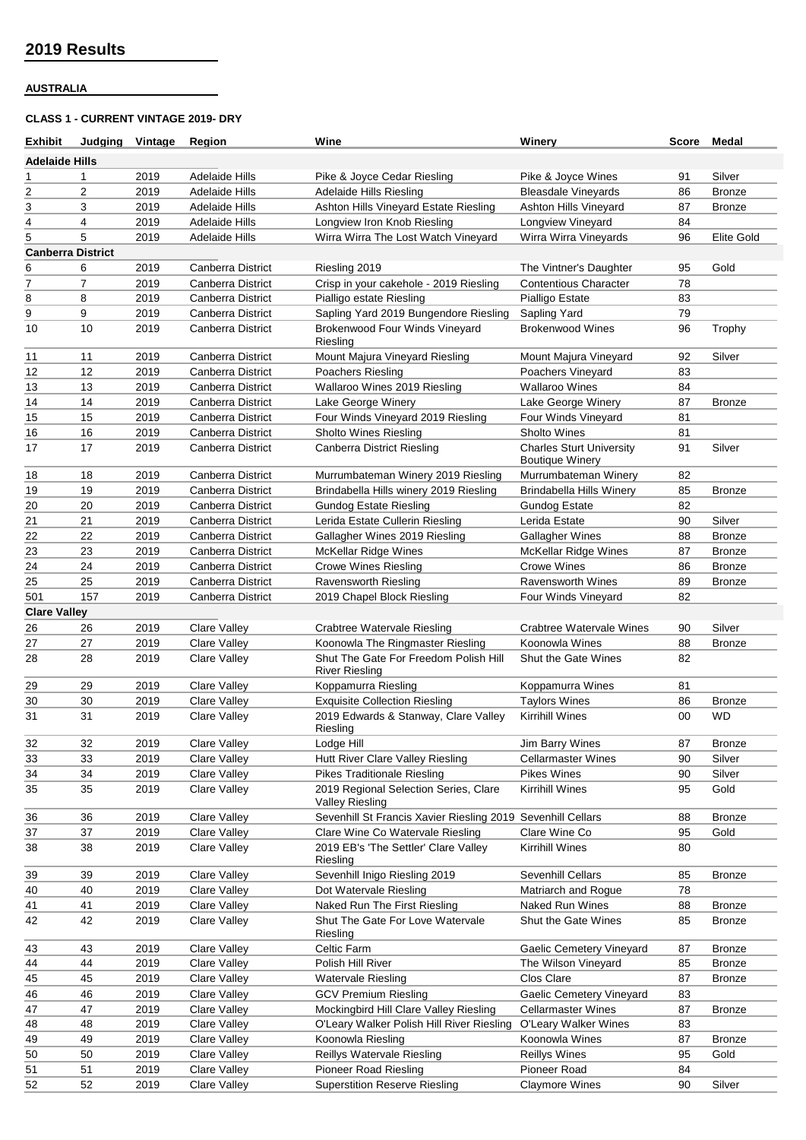## **AUSTRALIA**

## **CLASS 1 - CURRENT VINTAGE 2019- DRY**

| <b>Exhibit</b>           |                | Judging Vintage | Region                   | <b>Wine</b>                                                     | Winery                          |    | Score Medal       |
|--------------------------|----------------|-----------------|--------------------------|-----------------------------------------------------------------|---------------------------------|----|-------------------|
| <b>Adelaide Hills</b>    |                |                 |                          |                                                                 |                                 |    |                   |
| 1                        | 1              | 2019            | Adelaide Hills           | Pike & Joyce Cedar Riesling                                     | Pike & Joyce Wines              | 91 | Silver            |
| $\overline{c}$           | $\overline{2}$ | 2019            | <b>Adelaide Hills</b>    | <b>Adelaide Hills Riesling</b>                                  | <b>Bleasdale Vineyards</b>      | 86 | <b>Bronze</b>     |
| 3                        | 3              | 2019            | Adelaide Hills           | Ashton Hills Vineyard Estate Riesling                           | <b>Ashton Hills Vineyard</b>    | 87 | <b>Bronze</b>     |
| 4                        | 4              | 2019            | <b>Adelaide Hills</b>    | Longview Iron Knob Riesling                                     | <b>Longview Vineyard</b>        | 84 |                   |
| 5                        | 5              | 2019            | Adelaide Hills           | Wirra Wirra The Lost Watch Vineyard                             | Wirra Wirra Vineyards           | 96 | <b>Elite Gold</b> |
| <b>Canberra District</b> |                |                 |                          |                                                                 |                                 |    |                   |
| 6                        | 6              | 2019            | Canberra District        | Riesling 2019                                                   | The Vintner's Daughter          | 95 | Gold              |
| 7                        | $\overline{7}$ | 2019            | Canberra District        | Crisp in your cakehole - 2019 Riesling                          | <b>Contentious Character</b>    | 78 |                   |
| 8                        | 8              | 2019            | Canberra District        | Pialligo estate Riesling                                        | Pialligo Estate                 | 83 |                   |
| 9                        | 9              | 2019            | Canberra District        | Sapling Yard 2019 Bungendore Riesling                           | Sapling Yard                    | 79 |                   |
| 10                       | 10             | 2019            | Canberra District        | Brokenwood Four Winds Vineyard                                  | <b>Brokenwood Wines</b>         | 96 | Trophy            |
|                          |                |                 |                          | Riesling                                                        |                                 |    |                   |
| 11                       | 11             | 2019            | Canberra District        | Mount Majura Vineyard Riesling                                  | Mount Majura Vineyard           | 92 | Silver            |
| 12                       | 12             | 2019            | Canberra District        | Poachers Riesling                                               | Poachers Vineyard               | 83 |                   |
| 13                       | 13             | 2019            | Canberra District        | Wallaroo Wines 2019 Riesling                                    | <b>Wallaroo Wines</b>           | 84 |                   |
| 14                       | 14             | 2019            | Canberra District        | Lake George Winery                                              | Lake George Winery              | 87 | <b>Bronze</b>     |
| 15                       | 15             | 2019            | Canberra District        | Four Winds Vineyard 2019 Riesling                               | Four Winds Vineyard             | 81 |                   |
| 16                       | 16             | 2019            | Canberra District        | <b>Sholto Wines Riesling</b>                                    | Sholto Wines                    | 81 |                   |
| 17                       | 17             | 2019            | Canberra District        | <b>Canberra District Riesling</b>                               | <b>Charles Sturt University</b> | 91 | Silver            |
|                          |                |                 |                          |                                                                 | <b>Boutique Winery</b>          |    |                   |
| 18                       | 18             | 2019            | <b>Canberra District</b> | Murrumbateman Winery 2019 Riesling                              | Murrumbateman Winery            | 82 |                   |
| 19                       | 19             | 2019            | Canberra District        | Brindabella Hills winery 2019 Riesling                          | <b>Brindabella Hills Winery</b> | 85 | <b>Bronze</b>     |
| 20                       | 20             | 2019            | Canberra District        | <b>Gundog Estate Riesling</b>                                   | <b>Gundog Estate</b>            | 82 |                   |
| 21                       | 21             | 2019            | Canberra District        | Lerida Estate Cullerin Riesling                                 | Lerida Estate                   | 90 | Silver            |
|                          |                |                 |                          |                                                                 |                                 |    |                   |
| 22                       | 22             | 2019            | Canberra District        | Gallagher Wines 2019 Riesling                                   | Gallagher Wines                 | 88 | <b>Bronze</b>     |
| 23                       | 23             | 2019            | Canberra District        | McKellar Ridge Wines                                            | <b>McKellar Ridge Wines</b>     | 87 | <b>Bronze</b>     |
| 24                       | 24             | 2019            | Canberra District        | <b>Crowe Wines Riesling</b>                                     | <b>Crowe Wines</b>              | 86 | <b>Bronze</b>     |
| 25                       | 25             | 2019            | Canberra District        | <b>Ravensworth Riesling</b>                                     | <b>Ravensworth Wines</b>        | 89 | <b>Bronze</b>     |
| 501                      | 157            | 2019            | Canberra District        | 2019 Chapel Block Riesling                                      | Four Winds Vineyard             | 82 |                   |
| <b>Clare Valley</b>      |                |                 |                          |                                                                 |                                 |    |                   |
| 26                       | 26             | 2019            | <b>Clare Valley</b>      | <b>Crabtree Watervale Riesling</b>                              | Crabtree Watervale Wines        | 90 | Silver            |
| 27                       | 27             | 2019            | Clare Valley             | Koonowla The Ringmaster Riesling                                | Koonowla Wines                  | 88 | <b>Bronze</b>     |
| 28                       | 28             | 2019            | Clare Valley             | Shut The Gate For Freedom Polish Hill<br><b>River Riesling</b>  | Shut the Gate Wines             | 82 |                   |
| 29                       | 29             | 2019            | Clare Valley             | Koppamurra Riesling                                             | Koppamurra Wines                | 81 |                   |
| 30                       | 30             | 2019            | <b>Clare Valley</b>      | <b>Exquisite Collection Riesling</b>                            | <b>Taylors Wines</b>            | 86 | <b>Bronze</b>     |
| 31                       | 31             | 2019            | <b>Clare Valley</b>      | 2019 Edwards & Stanway, Clare Valley<br>Riesling                | <b>Kirrihill Wines</b>          | 00 | WD                |
| 32                       | 32             | 2019            | <b>Clare Valley</b>      | Lodge Hill                                                      | <b>Jim Barry Wines</b>          | 87 | <b>Bronze</b>     |
| 33                       | 33             | 2019            | <b>Clare Valley</b>      | Hutt River Clare Valley Riesling                                | <b>Cellarmaster Wines</b>       | 90 | Silver            |
| 34                       | 34             | 2019            | <b>Clare Valley</b>      | <b>Pikes Traditionale Riesling</b>                              | Pikes Wines                     | 90 | Silver            |
| 35                       | 35             | 2019            | <b>Clare Valley</b>      | 2019 Regional Selection Series, Clare<br><b>Valley Riesling</b> | <b>Kirrihill Wines</b>          | 95 | Gold              |
| 36                       | 36             | 2019            | <b>Clare Valley</b>      | Sevenhill St Francis Xavier Riesling 2019 Sevenhill Cellars     |                                 | 88 | <b>Bronze</b>     |
| 37                       | 37             | 2019            | <b>Clare Valley</b>      | Clare Wine Co Watervale Riesling                                | Clare Wine Co                   | 95 | Gold              |
| 38                       | 38             | 2019            | <b>Clare Valley</b>      | 2019 EB's 'The Settler' Clare Valley<br>Riesling                | <b>Kirrihill Wines</b>          | 80 |                   |
| 39                       | 39             | 2019            | Clare Valley             | Sevenhill Inigo Riesling 2019                                   | Sevenhill Cellars               | 85 | <b>Bronze</b>     |
| 40                       | 40             | 2019            | <b>Clare Valley</b>      | Dot Watervale Riesling                                          | Matriarch and Roque             | 78 |                   |
| 41                       | 41             | 2019            | <b>Clare Valley</b>      | Naked Run The First Riesling                                    | Naked Run Wines                 | 88 | <b>Bronze</b>     |
| 42                       | 42             | 2019            | <b>Clare Valley</b>      | Shut The Gate For Love Watervale<br>Riesling                    | Shut the Gate Wines             | 85 | <b>Bronze</b>     |
| 43                       | 43             | 2019            | Clare Valley             | Celtic Farm                                                     | Gaelic Cemetery Vineyard        | 87 | <b>Bronze</b>     |
| 44                       | 44             | 2019            | <b>Clare Valley</b>      | Polish Hill River                                               | The Wilson Vineyard             | 85 | <b>Bronze</b>     |
| 45                       | 45             | 2019            | <b>Clare Valley</b>      | Watervale Riesling                                              | Clos Clare                      | 87 | <b>Bronze</b>     |
| 46                       | 46             | 2019            | <b>Clare Valley</b>      | <b>GCV Premium Riesling</b>                                     | Gaelic Cemetery Vineyard        | 83 |                   |
| 47                       | 47             | 2019            | Clare Valley             | Mockingbird Hill Clare Valley Riesling                          | <b>Cellarmaster Wines</b>       | 87 | <b>Bronze</b>     |
| 48                       | 48             | 2019            | <b>Clare Valley</b>      | O'Leary Walker Polish Hill River Riesling                       | O'Leary Walker Wines            | 83 |                   |
|                          |                |                 | Clare Valley             | Koonowla Riesling                                               | Koonowla Wines                  |    |                   |
| 49                       | 49             | 2019            |                          |                                                                 |                                 | 87 | <b>Bronze</b>     |
| 50                       | 50             | 2019            | <b>Clare Valley</b>      | Reillys Watervale Riesling                                      | <b>Reillys Wines</b>            | 95 | Gold              |
| 51                       | 51             | 2019            | Clare Valley             | <b>Pioneer Road Riesling</b>                                    | Pioneer Road                    | 84 |                   |
| 52                       | 52             | 2019            | Clare Valley             | <b>Superstition Reserve Riesling</b>                            | <b>Claymore Wines</b>           | 90 | Silver            |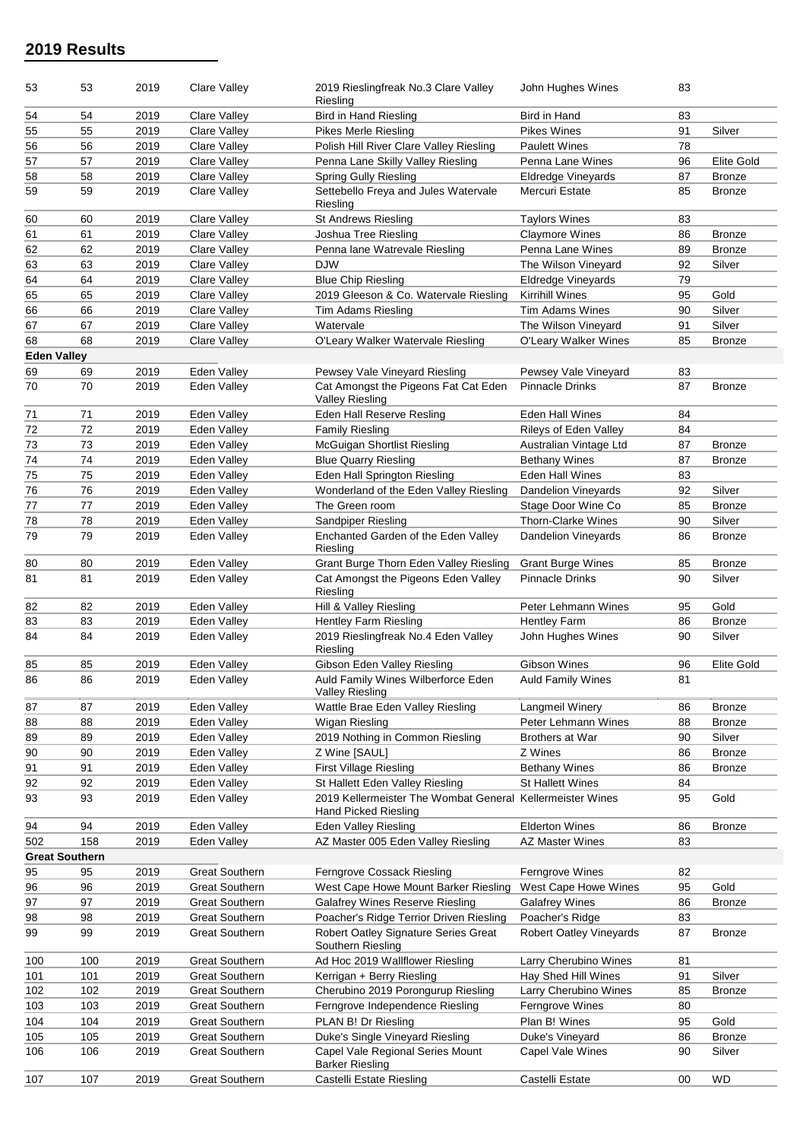| 53                 | 53                    | 2019 | <b>Clare Valley</b>   | 2019 Rieslingfreak No.3 Clare Valley<br>Riesling                     | John Hughes Wines              | 83 |                   |
|--------------------|-----------------------|------|-----------------------|----------------------------------------------------------------------|--------------------------------|----|-------------------|
| 54                 | 54                    | 2019 | Clare Valley          | <b>Bird in Hand Riesling</b>                                         | Bird in Hand                   | 83 |                   |
| 55                 | 55                    | 2019 | <b>Clare Valley</b>   | <b>Pikes Merle Riesling</b>                                          | <b>Pikes Wines</b>             | 91 | Silver            |
| 56                 | 56                    | 2019 | Clare Valley          | Polish Hill River Clare Valley Riesling                              | <b>Paulett Wines</b>           | 78 |                   |
| 57                 | 57                    | 2019 | <b>Clare Valley</b>   | Penna Lane Skilly Valley Riesling                                    | Penna Lane Wines               | 96 | Elite Gold        |
| 58                 | 58                    | 2019 | <b>Clare Valley</b>   | <b>Spring Gully Riesling</b>                                         | <b>Eldredge Vineyards</b>      | 87 | <b>Bronze</b>     |
| 59                 | 59                    | 2019 | <b>Clare Valley</b>   | Settebello Freya and Jules Watervale<br>Riesling                     | Mercuri Estate                 | 85 | <b>Bronze</b>     |
| 60                 | 60                    | 2019 | Clare Valley          | <b>St Andrews Riesling</b>                                           | <b>Taylors Wines</b>           | 83 |                   |
| 61                 | 61                    | 2019 | Clare Valley          | Joshua Tree Riesling                                                 | <b>Claymore Wines</b>          | 86 | <b>Bronze</b>     |
| 62                 | 62                    | 2019 | <b>Clare Valley</b>   | Penna lane Watrevale Riesling                                        | Penna Lane Wines               | 89 | <b>Bronze</b>     |
| 63                 | 63                    | 2019 | <b>Clare Valley</b>   | <b>DJW</b>                                                           | The Wilson Vineyard            | 92 | Silver            |
| 64                 | 64                    | 2019 | Clare Valley          | <b>Blue Chip Riesling</b>                                            | <b>Eldredge Vinevards</b>      | 79 |                   |
| 65                 | 65                    | 2019 | <b>Clare Valley</b>   | 2019 Gleeson & Co. Watervale Riesling                                | Kirrihill Wines                | 95 | Gold              |
| 66                 | 66                    | 2019 | <b>Clare Valley</b>   | Tim Adams Riesling                                                   | Tim Adams Wines                | 90 | Silver            |
| 67                 | 67                    | 2019 | Clare Valley          | Watervale                                                            | The Wilson Vineyard            | 91 | Silver            |
| 68                 | 68                    | 2019 | Clare Valley          | O'Leary Walker Watervale Riesling                                    | O'Leary Walker Wines           | 85 | <b>Bronze</b>     |
| <b>Eden Valley</b> |                       |      |                       |                                                                      |                                |    |                   |
| 69                 | 69                    | 2019 | Eden Valley           | Pewsey Vale Vineyard Riesling                                        | Pewsey Vale Vineyard           | 83 |                   |
| 70                 | 70                    | 2019 | Eden Valley           | Cat Amongst the Pigeons Fat Cat Eden<br><b>Valley Riesling</b>       | <b>Pinnacle Drinks</b>         | 87 | <b>Bronze</b>     |
| 71                 | 71                    | 2019 | Eden Valley           | Eden Hall Reserve Resling                                            | <b>Eden Hall Wines</b>         | 84 |                   |
| 72                 | 72                    | 2019 | Eden Valley           | <b>Family Riesling</b>                                               | Rileys of Eden Valley          | 84 |                   |
| 73                 | 73                    | 2019 | Eden Valley           | <b>McGuigan Shortlist Riesling</b>                                   | Australian Vintage Ltd         | 87 | <b>Bronze</b>     |
| 74                 | 74                    | 2019 | Eden Valley           | <b>Blue Quarry Riesling</b>                                          | <b>Bethany Wines</b>           | 87 | <b>Bronze</b>     |
| 75                 | 75                    | 2019 | Eden Valley           | Eden Hall Springton Riesling                                         | <b>Eden Hall Wines</b>         | 83 |                   |
| 76                 | 76                    | 2019 | Eden Valley           | Wonderland of the Eden Valley Riesling                               | Dandelion Vineyards            | 92 | Silver            |
| 77                 | 77                    | 2019 | Eden Valley           | The Green room                                                       | Stage Door Wine Co             | 85 | <b>Bronze</b>     |
| 78                 | 78                    | 2019 | Eden Valley           | Sandpiper Riesling                                                   | Thorn-Clarke Wines             | 90 | Silver            |
| 79                 |                       |      |                       |                                                                      |                                |    |                   |
|                    | 79                    | 2019 | Eden Valley           | Enchanted Garden of the Eden Valley<br>Riesling                      | Dandelion Vineyards            | 86 | <b>Bronze</b>     |
| 80                 | 80                    | 2019 | Eden Valley           | Grant Burge Thorn Eden Valley Riesling                               | <b>Grant Burge Wines</b>       | 85 | <b>Bronze</b>     |
| 81                 | 81                    | 2019 | Eden Valley           | Cat Amongst the Pigeons Eden Valley<br>Riesling                      | Pinnacle Drinks                | 90 | Silver            |
| 82                 | 82                    | 2019 | Eden Valley           | Hill & Valley Riesling                                               | Peter Lehmann Wines            | 95 | Gold              |
| 83                 | 83                    | 2019 | Eden Valley           | <b>Hentley Farm Riesling</b>                                         | <b>Hentley Farm</b>            | 86 | <b>Bronze</b>     |
| 84                 | 84                    | 2019 | Eden Valley           | 2019 Rieslingfreak No.4 Eden Valley<br>Riesling                      | John Hughes Wines              | 90 | Silver            |
| 85                 | 85                    | 2019 | Eden Valley           | Gibson Eden Valley Riesling                                          | Gibson Wines                   | 96 | <b>Elite Gold</b> |
| 86                 | 86                    | 2019 | Eden Valley           | Auld Family Wines Wilberforce Eden<br>Valley Riesling                | <b>Auld Family Wines</b>       | 81 |                   |
| 87                 | 87                    | 2019 | Eden Valley           | Wattle Brae Eden Valley Riesling                                     | Langmeil Winery                | 86 | Bronze            |
| 88                 | 88                    | 2019 | Eden Valley           | Wigan Riesling                                                       | Peter Lehmann Wines            | 88 | <b>Bronze</b>     |
| 89                 | 89                    | 2019 | Eden Valley           | 2019 Nothing in Common Riesling                                      | Brothers at War                | 90 | Silver            |
| 90                 | 90                    | 2019 | Eden Valley           | Z Wine [SAUL]                                                        | Z Wines                        | 86 | <b>Bronze</b>     |
| 91                 | 91                    | 2019 | Eden Valley           | First Village Riesling                                               | <b>Bethany Wines</b>           | 86 | Bronze            |
| 92                 | 92                    | 2019 | Eden Valley           | St Hallett Eden Valley Riesling                                      | <b>St Hallett Wines</b>        | 84 |                   |
| 93                 | 93                    | 2019 | Eden Valley           | 2019 Kellermeister The Wombat General<br><b>Hand Picked Riesling</b> | <b>Kellermeister Wines</b>     | 95 | Gold              |
| 94                 | 94                    | 2019 | Eden Valley           | Eden Valley Riesling                                                 | <b>Elderton Wines</b>          | 86 | Bronze            |
| 502                | 158                   | 2019 | Eden Valley           | AZ Master 005 Eden Valley Riesling                                   | AZ Master Wines                | 83 |                   |
|                    | <b>Great Southern</b> |      |                       |                                                                      |                                |    |                   |
| 95                 | 95                    | 2019 | <b>Great Southern</b> | Ferngrove Cossack Riesling                                           | Ferngrove Wines                | 82 |                   |
| 96                 | 96                    | 2019 | <b>Great Southern</b> | West Cape Howe Mount Barker Riesling                                 | West Cape Howe Wines           | 95 | Gold              |
| 97                 | 97                    | 2019 | <b>Great Southern</b> | <b>Galafrey Wines Reserve Riesling</b>                               | <b>Galafrey Wines</b>          | 86 | Bronze            |
| 98                 | 98                    | 2019 | <b>Great Southern</b> | Poacher's Ridge Terrior Driven Riesling                              | Poacher's Ridge                | 83 |                   |
| 99                 | 99                    | 2019 | <b>Great Southern</b> | Robert Oatley Signature Series Great<br>Southern Riesling            | <b>Robert Oatley Vineyards</b> | 87 | <b>Bronze</b>     |
| 100                | 100                   | 2019 | <b>Great Southern</b> | Ad Hoc 2019 Wallflower Riesling                                      | Larry Cherubino Wines          | 81 |                   |
| 101                | 101                   | 2019 | <b>Great Southern</b> | Kerrigan + Berry Riesling                                            | Hay Shed Hill Wines            | 91 | Silver            |
| 102                | 102                   | 2019 | <b>Great Southern</b> | Cherubino 2019 Porongurup Riesling                                   | Larry Cherubino Wines          | 85 | Bronze            |
| 103                | 103                   | 2019 | <b>Great Southern</b> | Ferngrove Independence Riesling                                      | Ferngrove Wines                | 80 |                   |
| 104                | 104                   | 2019 | <b>Great Southern</b> | PLAN B! Dr Riesling                                                  | Plan B! Wines                  | 95 | Gold              |
| 105                | 105                   | 2019 | <b>Great Southern</b> | Duke's Single Vineyard Riesling                                      | Duke's Vineyard                | 86 | Bronze            |
| 106                | 106                   | 2019 | <b>Great Southern</b> | Capel Vale Regional Series Mount<br><b>Barker Riesling</b>           | Capel Vale Wines               | 90 | Silver            |
| 107                | 107                   | 2019 | <b>Great Southern</b> | Castelli Estate Riesling                                             | Castelli Estate                | 00 | <b>WD</b>         |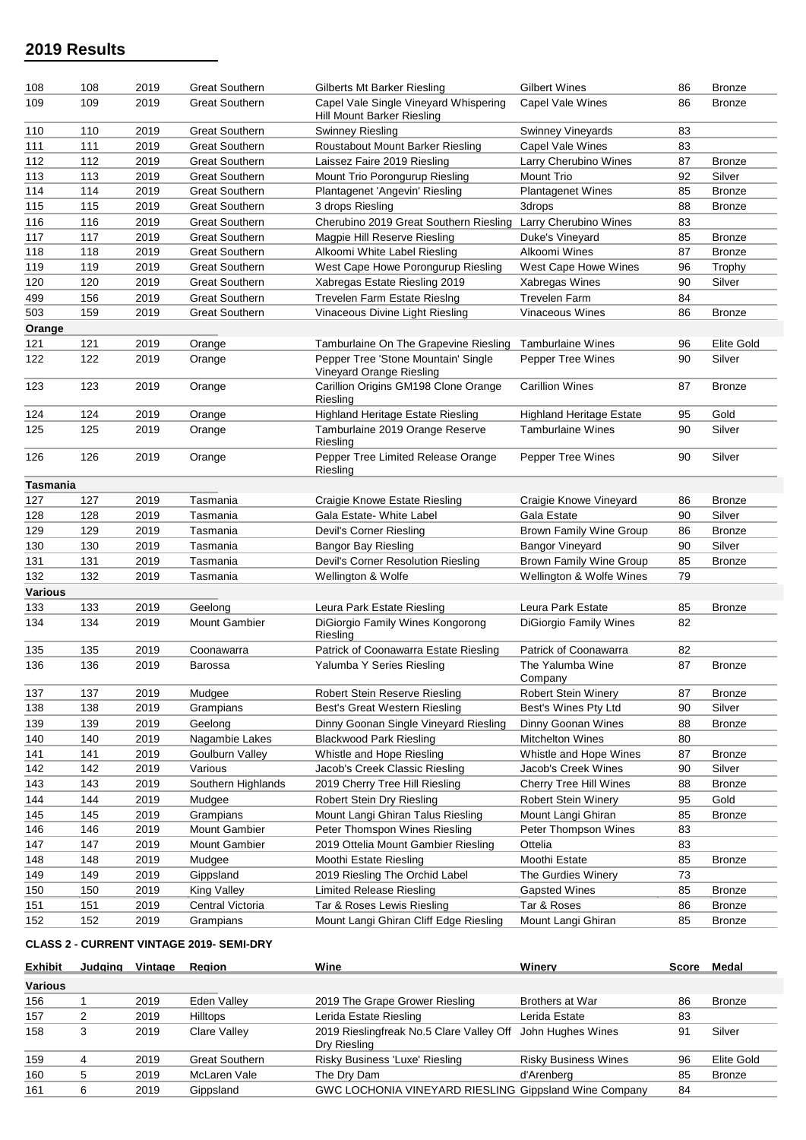| 108            | 108 | 2019 | <b>Great Southern</b> | Gilberts Mt Barker Riesling                                         | <b>Gilbert Wines</b>            | 86 | <b>Bronze</b>     |
|----------------|-----|------|-----------------------|---------------------------------------------------------------------|---------------------------------|----|-------------------|
| 109            | 109 | 2019 | <b>Great Southern</b> | Capel Vale Single Vineyard Whispering<br>Hill Mount Barker Riesling | Capel Vale Wines                | 86 | <b>Bronze</b>     |
| 110            | 110 | 2019 | <b>Great Southern</b> | Swinney Riesling                                                    | Swinney Vineyards               | 83 |                   |
| 111            | 111 | 2019 | <b>Great Southern</b> | Roustabout Mount Barker Riesling                                    | <b>Capel Vale Wines</b>         | 83 |                   |
| 112            | 112 | 2019 | <b>Great Southern</b> | Laissez Faire 2019 Riesling                                         | Larry Cherubino Wines           | 87 | <b>Bronze</b>     |
| 113            | 113 | 2019 | <b>Great Southern</b> | Mount Trio Porongurup Riesling                                      | Mount Trio                      | 92 | Silver            |
| 114            | 114 | 2019 | <b>Great Southern</b> | Plantagenet 'Angevin' Riesling                                      | <b>Plantagenet Wines</b>        | 85 | <b>Bronze</b>     |
| 115            | 115 | 2019 | <b>Great Southern</b> | 3 drops Riesling                                                    | 3drops                          | 88 | <b>Bronze</b>     |
| 116            | 116 | 2019 | <b>Great Southern</b> | Cherubino 2019 Great Southern Riesling                              | Larry Cherubino Wines           | 83 |                   |
| 117            | 117 | 2019 | <b>Great Southern</b> | Magpie Hill Reserve Riesling                                        | Duke's Vineyard                 | 85 | <b>Bronze</b>     |
| 118            | 118 | 2019 | <b>Great Southern</b> | Alkoomi White Label Riesling                                        | Alkoomi Wines                   | 87 | <b>Bronze</b>     |
| 119            | 119 | 2019 | <b>Great Southern</b> | West Cape Howe Porongurup Riesling                                  | West Cape Howe Wines            | 96 | Trophy            |
| 120            | 120 | 2019 | <b>Great Southern</b> | Xabregas Estate Riesling 2019                                       | Xabregas Wines                  | 90 | Silver            |
| 499            | 156 | 2019 | <b>Great Southern</b> | Trevelen Farm Estate RiesIng                                        | <b>Trevelen Farm</b>            | 84 |                   |
| 503            | 159 | 2019 | <b>Great Southern</b> | Vinaceous Divine Light Riesling                                     | <b>Vinaceous Wines</b>          | 86 | <b>Bronze</b>     |
| Orange         |     |      |                       |                                                                     |                                 |    |                   |
| 121            | 121 | 2019 | Orange                | Tamburlaine On The Grapevine Riesling                               | <b>Tamburlaine Wines</b>        | 96 | <b>Elite Gold</b> |
| 122            | 122 | 2019 | Orange                | Pepper Tree 'Stone Mountain' Single<br>Vineyard Orange Riesling     | Pepper Tree Wines               | 90 | Silver            |
| 123            | 123 | 2019 | Orange                | Carillion Origins GM198 Clone Orange<br>Riesling                    | <b>Carillion Wines</b>          | 87 | <b>Bronze</b>     |
| 124            | 124 | 2019 | Orange                | <b>Highland Heritage Estate Riesling</b>                            | <b>Highland Heritage Estate</b> | 95 | Gold              |
| 125            | 125 | 2019 | Orange                | Tamburlaine 2019 Orange Reserve<br>Riesling                         | <b>Tamburlaine Wines</b>        | 90 | Silver            |
| 126            | 126 | 2019 | Orange                | Pepper Tree Limited Release Orange<br>Riesling                      | Pepper Tree Wines               | 90 | Silver            |
| Tasmania       |     |      |                       |                                                                     |                                 |    |                   |
| 127            | 127 | 2019 | Tasmania              | Craigie Knowe Estate Riesling                                       | Craigie Knowe Vineyard          | 86 | <b>Bronze</b>     |
| 128            | 128 | 2019 | Tasmania              | Gala Estate- White Label                                            | Gala Estate                     | 90 | Silver            |
| 129            | 129 | 2019 | Tasmania              | Devil's Corner Riesling                                             | Brown Family Wine Group         | 86 | <b>Bronze</b>     |
| 130            | 130 | 2019 | Tasmania              | <b>Bangor Bay Riesling</b>                                          | <b>Bangor Vineyard</b>          | 90 | Silver            |
| 131            | 131 | 2019 | Tasmania              | Devil's Corner Resolution Riesling                                  | <b>Brown Family Wine Group</b>  | 85 | <b>Bronze</b>     |
| 132            | 132 | 2019 | Tasmania              | Wellington & Wolfe                                                  | Wellington & Wolfe Wines        | 79 |                   |
| <b>Various</b> |     |      |                       |                                                                     |                                 |    |                   |
| 133            | 133 | 2019 | Geelong               | Leura Park Estate Riesling                                          | Leura Park Estate               | 85 | <b>Bronze</b>     |
| 134            | 134 | 2019 | <b>Mount Gambier</b>  | DiGiorgio Family Wines Kongorong<br>Riesling                        | <b>DiGiorgio Family Wines</b>   | 82 |                   |
| 135            | 135 | 2019 | Coonawarra            | Patrick of Coonawarra Estate Riesling                               | Patrick of Coonawarra           | 82 |                   |
| 136            | 136 | 2019 | Barossa               | Yalumba Y Series Riesling                                           | The Yalumba Wine<br>Company     | 87 | <b>Bronze</b>     |
| 137            | 137 | 2019 | Mudgee                | Robert Stein Reserve Riesling                                       | <b>Robert Stein Winery</b>      | 87 | <b>Bronze</b>     |
| 138            | 138 | 2019 | Grampians             | Best's Great Western Riesling                                       | Best's Wines Pty Ltd            | 90 | Silver            |
| 139            | 139 | 2019 | Geelong               | Dinny Goonan Single Vineyard Riesling                               | Dinny Goonan Wines              | 88 | Bronze            |
| 140            | 140 | 2019 | Nagambie Lakes        | <b>Blackwood Park Riesling</b>                                      | <b>Mitchelton Wines</b>         | 80 |                   |
| 141            | 141 | 2019 | Goulburn Valley       | Whistle and Hope Riesling                                           | Whistle and Hope Wines          | 87 | <b>Bronze</b>     |
| 142            | 142 | 2019 | Various               | Jacob's Creek Classic Riesling                                      | Jacob's Creek Wines             | 90 | Silver            |
| 143            | 143 | 2019 | Southern Highlands    | 2019 Cherry Tree Hill Riesling                                      | Cherry Tree Hill Wines          | 88 | <b>Bronze</b>     |
| 144            | 144 | 2019 | Mudgee                | Robert Stein Dry Riesling                                           | <b>Robert Stein Winery</b>      | 95 | Gold              |
| 145            | 145 | 2019 | Grampians             | Mount Langi Ghiran Talus Riesling                                   | Mount Langi Ghiran              | 85 | <b>Bronze</b>     |
| 146            | 146 | 2019 | <b>Mount Gambier</b>  | Peter Thomspon Wines Riesling                                       | Peter Thompson Wines            | 83 |                   |
| 147            | 147 | 2019 | <b>Mount Gambier</b>  | 2019 Ottelia Mount Gambier Riesling                                 | Ottelia                         | 83 |                   |
| 148            | 148 | 2019 | Mudgee                | Moothi Estate Riesling                                              | Moothi Estate                   | 85 | Bronze            |
| 149            | 149 | 2019 | Gippsland             | 2019 Riesling The Orchid Label                                      | The Gurdies Winery              | 73 |                   |
| 150            | 150 | 2019 | King Valley           | Limited Release Riesling                                            | <b>Gapsted Wines</b>            | 85 | <b>Bronze</b>     |
| 151            | 151 | 2019 | Central Victoria      | Tar & Roses Lewis Riesling                                          | Tar & Roses                     | 86 | <b>Bronze</b>     |
| 152            | 152 | 2019 | Grampians             | Mount Langi Ghiran Cliff Edge Riesling                              | Mount Langi Ghiran              | 85 | <b>Bronze</b>     |
|                |     |      |                       |                                                                     |                                 |    |                   |

# **CLASS 2 - CURRENT VINTAGE 2019- SEMI-DRY**

| <b>Exhibit</b> | Judging | Vintage | Region          | Wine                                                         | Winerv                      | <b>Score</b> | Medal             |
|----------------|---------|---------|-----------------|--------------------------------------------------------------|-----------------------------|--------------|-------------------|
| <b>Various</b> |         |         |                 |                                                              |                             |              |                   |
| 156            |         | 2019    | Eden Valley     | 2019 The Grape Grower Riesling                               | Brothers at War             | 86           | <b>Bronze</b>     |
| 157            |         | 2019    | <b>Hilltops</b> | Lerida Estate Riesling                                       | Lerida Estate               | 83           |                   |
| 158            | 3       | 2019    | Clare Valley    | 2019 Rieslingfreak No.5 Clare Valley Off<br>Dry Riesling     | John Hughes Wines           | 91           | Silver            |
| 159            | 4       | 2019    | Great Southern  | Risky Business 'Luxe' Riesling                               | <b>Risky Business Wines</b> | 96           | <b>Elite Gold</b> |
| 160            | 5       | 2019    | McLaren Vale    | The Dry Dam                                                  | d'Arenberg                  | 85           | <b>Bronze</b>     |
| 161            | 6       | 2019    | Gippsland       | <b>GWC LOCHONIA VINEYARD RIESLING Gippsland Wine Company</b> |                             | 84           |                   |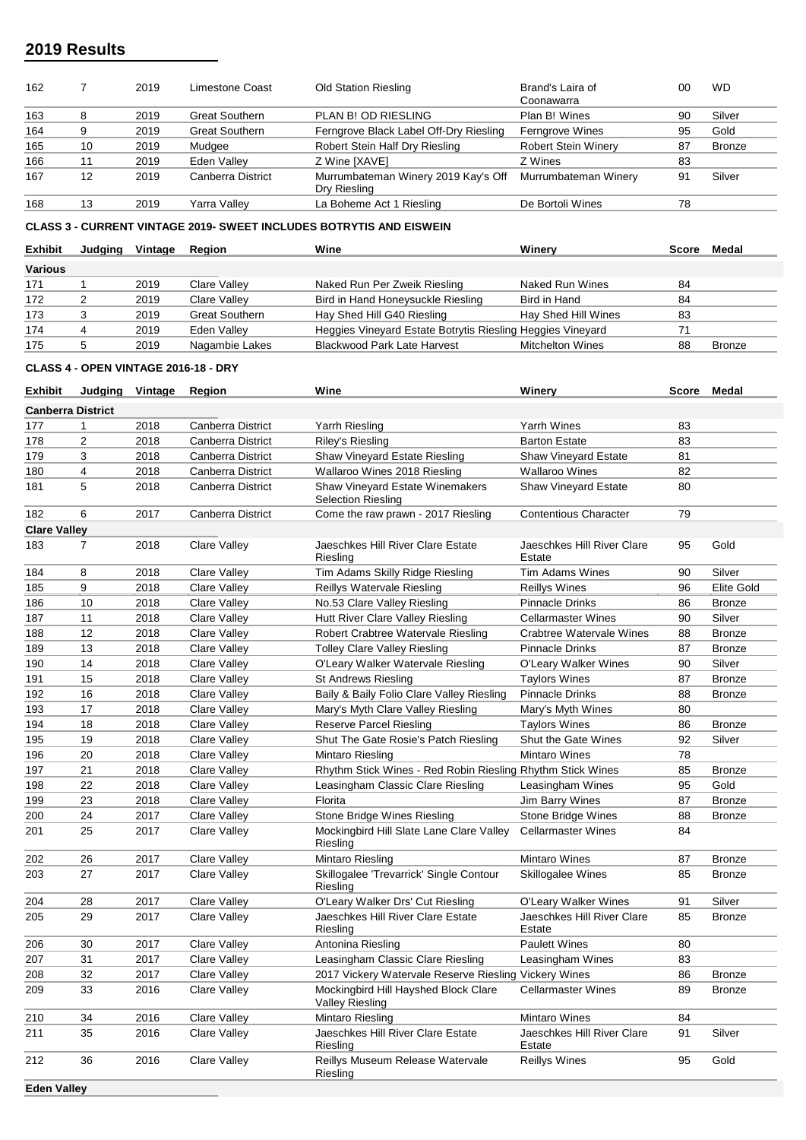| 162 |    | 2019 | Limestone Coast       | <b>Old Station Riesling</b>                         | Brand's Laira of<br>Coonawarra | 00 | <b>WD</b>     |
|-----|----|------|-----------------------|-----------------------------------------------------|--------------------------------|----|---------------|
| 163 | 8  | 2019 | <b>Great Southern</b> | PLAN B! OD RIESLING                                 | Plan B! Wines                  | 90 | Silver        |
| 164 | 9  | 2019 | <b>Great Southern</b> | Ferngrove Black Label Off-Dry Riesling              | Ferngrove Wines                | 95 | Gold          |
| 165 | 10 | 2019 | Mudgee                | Robert Stein Half Dry Riesling                      | <b>Robert Stein Winery</b>     | 87 | <b>Bronze</b> |
| 166 | 11 | 2019 | Eden Valley           | Z Wine [XAVE]                                       | Z Wines                        | 83 |               |
| 167 | 12 | 2019 | Canberra District     | Murrumbateman Winery 2019 Kay's Off<br>Dry Riesling | Murrumbateman Winery           | 91 | Silver        |
| 168 | 13 | 2019 | Yarra Valley          | La Boheme Act 1 Riesling                            | De Bortoli Wines               | 78 |               |

**CLASS 3 - CURRENT VINTAGE 2019- SWEET INCLUDES BOTRYTIS AND EISWEIN**

| <b>Exhibit</b> | Judaina | Vintage | <b>Region</b>         | Wine                                                       | Winerv                  | <b>Score</b> | Medal         |
|----------------|---------|---------|-----------------------|------------------------------------------------------------|-------------------------|--------------|---------------|
| <b>Various</b> |         |         |                       |                                                            |                         |              |               |
| 171            |         | 2019    | Clare Valley          | Naked Run Per Zweik Riesling                               | Naked Run Wines         | 84           |               |
| 172            |         | 2019    | Clare Vallev          | Bird in Hand Honeysuckle Riesling                          | Bird in Hand            | 84           |               |
| 173            |         | 2019    | <b>Great Southern</b> | Hay Shed Hill G40 Riesling                                 | Hay Shed Hill Wines     | 83           |               |
| 174            |         | 2019    | Eden Valley           | Heggies Vineyard Estate Botrytis Riesling Heggies Vineyard |                         | 71           |               |
| 175            |         | 2019    | Nagambie Lakes        | <b>Blackwood Park Late Harvest</b>                         | <b>Mitchelton Wines</b> | 88           | <b>Bronze</b> |

#### **CLASS 4 - OPEN VINTAGE 2016-18 - DRY**

| <b>Exhibit</b>      | Judging Vintage          |      | Region              | Wine                                                                | Winery                               |    | Score Medal       |
|---------------------|--------------------------|------|---------------------|---------------------------------------------------------------------|--------------------------------------|----|-------------------|
|                     | <b>Canberra District</b> |      |                     |                                                                     |                                      |    |                   |
| 177                 | 1                        | 2018 | Canberra District   | Yarrh Riesling                                                      | Yarrh Wines                          | 83 |                   |
| 178                 | $\overline{2}$           | 2018 | Canberra District   | Riley's Riesling                                                    | <b>Barton Estate</b>                 | 83 |                   |
| 179                 | 3                        | 2018 | Canberra District   | Shaw Vineyard Estate Riesling                                       | <b>Shaw Vineyard Estate</b>          | 81 |                   |
| 180                 | 4                        | 2018 | Canberra District   | Wallaroo Wines 2018 Riesling                                        | <b>Wallaroo Wines</b>                | 82 |                   |
| 181                 | 5                        | 2018 | Canberra District   | <b>Shaw Vineyard Estate Winemakers</b><br><b>Selection Riesling</b> | Shaw Vineyard Estate                 | 80 |                   |
| 182                 | 6                        | 2017 | Canberra District   | Come the raw prawn - 2017 Riesling                                  | <b>Contentious Character</b>         | 79 |                   |
| <b>Clare Valley</b> |                          |      |                     |                                                                     |                                      |    |                   |
| 183                 | 7                        | 2018 | <b>Clare Valley</b> | Jaeschkes Hill River Clare Estate<br>Riesling                       | Jaeschkes Hill River Clare<br>Estate | 95 | Gold              |
| 184                 | 8                        | 2018 | Clare Valley        | Tim Adams Skilly Ridge Riesling                                     | Tim Adams Wines                      | 90 | Silver            |
| 185                 | 9                        | 2018 | <b>Clare Valley</b> | Reillys Watervale Riesling                                          | <b>Reillys Wines</b>                 | 96 | <b>Elite Gold</b> |
| 186                 | 10                       | 2018 | <b>Clare Valley</b> | No.53 Clare Valley Riesling                                         | <b>Pinnacle Drinks</b>               | 86 | <b>Bronze</b>     |
| 187                 | 11                       | 2018 | <b>Clare Valley</b> | Hutt River Clare Valley Riesling                                    | <b>Cellarmaster Wines</b>            | 90 | Silver            |
| 188                 | 12                       | 2018 | <b>Clare Valley</b> | Robert Crabtree Watervale Riesling                                  | Crabtree Watervale Wines             | 88 | <b>Bronze</b>     |
| 189                 | 13                       | 2018 | <b>Clare Valley</b> | <b>Tolley Clare Valley Riesling</b>                                 | <b>Pinnacle Drinks</b>               | 87 | <b>Bronze</b>     |
| 190                 | 14                       | 2018 | <b>Clare Valley</b> | O'Leary Walker Watervale Riesling                                   | O'Leary Walker Wines                 | 90 | Silver            |
| 191                 | 15                       | 2018 | Clare Valley        | St Andrews Riesling                                                 | <b>Taylors Wines</b>                 | 87 | <b>Bronze</b>     |
| 192                 | 16                       | 2018 | <b>Clare Valley</b> | Baily & Baily Folio Clare Valley Riesling                           | <b>Pinnacle Drinks</b>               | 88 | <b>Bronze</b>     |
| 193                 | 17                       | 2018 | Clare Valley        | Mary's Myth Clare Valley Riesling                                   | Mary's Myth Wines                    | 80 |                   |
| 194                 | 18                       | 2018 | <b>Clare Valley</b> | <b>Reserve Parcel Riesling</b>                                      | <b>Taylors Wines</b>                 | 86 | <b>Bronze</b>     |
| 195                 | 19                       | 2018 | <b>Clare Valley</b> | Shut The Gate Rosie's Patch Riesling                                | Shut the Gate Wines                  | 92 | Silver            |
| 196                 | 20                       | 2018 | <b>Clare Valley</b> | Mintaro Riesling                                                    | <b>Mintaro Wines</b>                 | 78 |                   |
| 197                 | 21                       | 2018 | <b>Clare Valley</b> | Rhythm Stick Wines - Red Robin Riesling Rhythm Stick Wines          |                                      | 85 | <b>Bronze</b>     |
| 198                 | 22                       | 2018 | <b>Clare Valley</b> | Leasingham Classic Clare Riesling                                   | Leasingham Wines                     | 95 | Gold              |
| 199                 | 23                       | 2018 | Clare Valley        | Florita                                                             | Jim Barry Wines                      | 87 | <b>Bronze</b>     |
| 200                 | 24                       | 2017 | <b>Clare Valley</b> | Stone Bridge Wines Riesling                                         | Stone Bridge Wines                   | 88 | <b>Bronze</b>     |
| 201                 | 25                       | 2017 | <b>Clare Valley</b> | Mockingbird Hill Slate Lane Clare Valley<br>Riesling                | <b>Cellarmaster Wines</b>            | 84 |                   |
| 202                 | 26                       | 2017 | <b>Clare Valley</b> | <b>Mintaro Riesling</b>                                             | <b>Mintaro Wines</b>                 | 87 | <b>Bronze</b>     |
| 203                 | 27                       | 2017 | Clare Valley        | Skillogalee 'Trevarrick' Single Contour<br>Riesling                 | <b>Skillogalee Wines</b>             | 85 | <b>Bronze</b>     |
| 204                 | 28                       | 2017 | Clare Valley        | O'Leary Walker Drs' Cut Riesling                                    | O'Leary Walker Wines                 | 91 | Silver            |
| 205                 | 29                       | 2017 | <b>Clare Valley</b> | Jaeschkes Hill River Clare Estate<br>Riesling                       | Jaeschkes Hill River Clare<br>Estate | 85 | <b>Bronze</b>     |
| 206                 | 30                       | 2017 | <b>Clare Valley</b> | Antonina Riesling                                                   | <b>Paulett Wines</b>                 | 80 |                   |
| 207                 | 31                       | 2017 | <b>Clare Valley</b> | Leasingham Classic Clare Riesling                                   | Leasingham Wines                     | 83 |                   |
| 208                 | 32                       | 2017 | <b>Clare Valley</b> | 2017 Vickery Watervale Reserve Riesling Vickery Wines               |                                      | 86 | <b>Bronze</b>     |
| 209                 | 33                       | 2016 | Clare Valley        | Mockingbird Hill Hayshed Block Clare<br>Valley Riesling             | <b>Cellarmaster Wines</b>            | 89 | Bronze            |
| 210                 | 34                       | 2016 | <b>Clare Valley</b> | Mintaro Riesling                                                    | Mintaro Wines                        | 84 |                   |
| 211                 | 35                       | 2016 | <b>Clare Valley</b> | Jaeschkes Hill River Clare Estate<br>Riesling                       | Jaeschkes Hill River Clare<br>Estate | 91 | Silver            |
| 212                 | 36                       | 2016 | Clare Valley        | Reillys Museum Release Watervale<br>Riesling                        | <b>Reillys Wines</b>                 | 95 | Gold              |
| <b>Eden Valley</b>  |                          |      |                     |                                                                     |                                      |    |                   |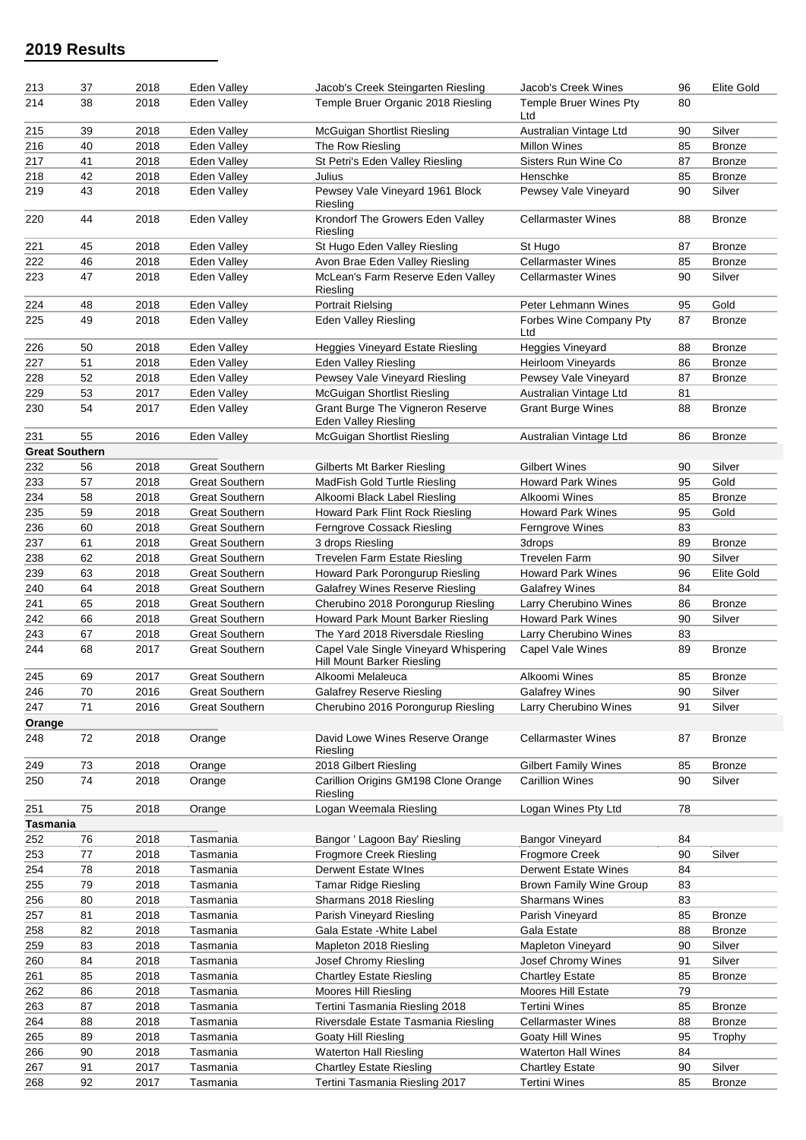| 213           | 37                    | 2018         | Eden Valley           | Jacob's Creek Steingarten Riesling                                  | Jacob's Creek Wines                                   | 96       | Elite Gold              |
|---------------|-----------------------|--------------|-----------------------|---------------------------------------------------------------------|-------------------------------------------------------|----------|-------------------------|
| 214           | 38                    | 2018         | <b>Eden Vallev</b>    | Temple Bruer Organic 2018 Riesling                                  | Temple Bruer Wines Pty<br>Ltd                         | 80       |                         |
| 215           | 39                    | 2018         | Eden Valley           | McGuigan Shortlist Riesling                                         | Australian Vintage Ltd                                | 90       | Silver                  |
| 216           | 40                    | 2018         | Eden Valley           | The Row Riesling                                                    | <b>Millon Wines</b>                                   | 85       | <b>Bronze</b>           |
| 217           | 41                    | 2018         | Eden Valley           | St Petri's Eden Valley Riesling                                     | Sisters Run Wine Co                                   | 87       | <b>Bronze</b>           |
| 218           | 42                    | 2018         | Eden Valley           | Julius                                                              | Henschke                                              | 85       | <b>Bronze</b>           |
| 219           | 43                    | 2018         | Eden Valley           | Pewsey Vale Vineyard 1961 Block<br>Riesling                         | Pewsey Vale Vineyard                                  | 90       | Silver                  |
| 220           | 44                    | 2018         | Eden Valley           | Krondorf The Growers Eden Valley<br>Riesling                        | <b>Cellarmaster Wines</b>                             | 88       | <b>Bronze</b>           |
| 221           | 45                    | 2018         | Eden Valley           | St Hugo Eden Valley Riesling                                        | St Hugo                                               | 87       | <b>Bronze</b>           |
| 222           | 46                    | 2018         | Eden Valley           | Avon Brae Eden Valley Riesling                                      | <b>Cellarmaster Wines</b>                             | 85       | <b>Bronze</b>           |
| 223           | 47                    | 2018         | Eden Valley           | McLean's Farm Reserve Eden Vallev<br>Riesling                       | <b>Cellarmaster Wines</b>                             | 90       | Silver                  |
| 224           | 48                    | 2018         | Eden Valley           | <b>Portrait Rielsing</b>                                            | Peter Lehmann Wines                                   | 95       | Gold                    |
| 225           | 49                    | 2018         | Eden Valley           | <b>Eden Valley Riesling</b>                                         | Forbes Wine Company Pty<br>Ltd                        | 87       | <b>Bronze</b>           |
| 226           | 50                    | 2018         | Eden Valley           | Heggies Vineyard Estate Riesling                                    | <b>Heggies Vineyard</b>                               | 88       | <b>Bronze</b>           |
| 227           | 51                    | 2018         | Eden Valley           | Eden Valley Riesling                                                | <b>Heirloom Vineyards</b>                             | 86       | <b>Bronze</b>           |
| 228           | 52                    | 2018         | Eden Valley           | Pewsey Vale Vineyard Riesling                                       | Pewsey Vale Vineyard                                  | 87       | <b>Bronze</b>           |
| 229           | 53                    | 2017         | Eden Valley           | McGuigan Shortlist Riesling                                         | Australian Vintage Ltd                                | 81       |                         |
| 230           | 54                    | 2017         | Eden Valley           | Grant Burge The Vigneron Reserve<br>Eden Valley Riesling            | <b>Grant Burge Wines</b>                              | 88       | <b>Bronze</b>           |
| 231           | 55                    | 2016         | Eden Valley           | McGuigan Shortlist Riesling                                         | Australian Vintage Ltd                                | 86       | <b>Bronze</b>           |
|               | <b>Great Southern</b> |              |                       |                                                                     |                                                       |          |                         |
| 232           | 56                    | 2018         | <b>Great Southern</b> | <b>Gilberts Mt Barker Riesling</b>                                  | <b>Gilbert Wines</b>                                  | 90       | Silver                  |
| 233           | 57                    | 2018         | <b>Great Southern</b> | MadFish Gold Turtle Riesling                                        | <b>Howard Park Wines</b>                              | 95       | Gold                    |
| 234           | 58                    | 2018         | <b>Great Southern</b> | Alkoomi Black Label Riesling                                        | Alkoomi Wines                                         | 85       | <b>Bronze</b>           |
| 235           | 59                    | 2018         | <b>Great Southern</b> | Howard Park Flint Rock Riesling                                     | <b>Howard Park Wines</b>                              | 95       | Gold                    |
| 236           | 60                    | 2018         | <b>Great Southern</b> | Ferngrove Cossack Riesling                                          | Ferngrove Wines                                       | 83       |                         |
| 237           | 61                    | 2018         | <b>Great Southern</b> | 3 drops Riesling                                                    | 3drops                                                | 89       | <b>Bronze</b>           |
| 238           | 62                    | 2018         | <b>Great Southern</b> | <b>Trevelen Farm Estate Riesling</b>                                | <b>Trevelen Farm</b>                                  | 90       | Silver                  |
| 239           | 63                    | 2018         | <b>Great Southern</b> | Howard Park Porongurup Riesling                                     | <b>Howard Park Wines</b>                              | 96       | <b>Elite Gold</b>       |
| 240           | 64                    | 2018         | <b>Great Southern</b> | <b>Galafrey Wines Reserve Riesling</b>                              | <b>Galafrey Wines</b>                                 | 84       |                         |
| 241           | 65                    | 2018         | <b>Great Southern</b> | Cherubino 2018 Porongurup Riesling                                  | Larry Cherubino Wines                                 | 86       | <b>Bronze</b>           |
| 242           | 66                    | 2018         | <b>Great Southern</b> | Howard Park Mount Barker Riesling                                   | <b>Howard Park Wines</b>                              | 90       | Silver                  |
| 243           | 67                    | 2018         | <b>Great Southern</b> | The Yard 2018 Riversdale Riesling                                   | Larry Cherubino Wines                                 | 83       |                         |
| 244           | 68                    | 2017         | <b>Great Southern</b> | Capel Vale Single Vineyard Whispering<br>Hill Mount Barker Riesling | Capel Vale Wines                                      | 89       | <b>Bronze</b>           |
| 245           | 69                    | 2017         | <b>Great Southern</b> | Alkoomi Melaleuca                                                   | Alkoomi Wines                                         | 85       | <b>Bronze</b>           |
| 246           | 70                    | 2016         | <b>Great Southern</b> | <b>Galafrey Reserve Riesling</b>                                    | <b>Galafrey Wines</b>                                 | 90       | Silver                  |
| 247           | 71                    | 2016         | <b>Great Southern</b> | Cherubino 2016 Porongurup Riesling                                  | Larry Cherubino Wines                                 | 91       | Silver                  |
| Orange<br>248 | 72                    | 2018         | Orange                | David Lowe Wines Reserve Orange                                     | <b>Cellarmaster Wines</b>                             | 87       | Bronze                  |
|               |                       |              |                       | Riesling                                                            |                                                       |          |                         |
| 249<br>250    | 73<br>74              | 2018<br>2018 | Orange<br>Orange      | 2018 Gilbert Riesling<br>Carillion Origins GM198 Clone Orange       | <b>Gilbert Family Wines</b><br><b>Carillion Wines</b> | 85<br>90 | <b>Bronze</b><br>Silver |
| 251           | 75                    | 2018         | Orange                | Riesling<br>Logan Weemala Riesling                                  | Logan Wines Pty Ltd                                   | 78       |                         |
| Tasmania      |                       |              |                       |                                                                     |                                                       |          |                         |
| 252           | 76                    | 2018         | Tasmania              | Bangor ' Lagoon Bay' Riesling                                       | <b>Bangor Vineyard</b>                                | 84       |                         |
| 253           | 77                    | 2018         | Tasmania              | <b>Frogmore Creek Riesling</b>                                      | <b>Frogmore Creek</b>                                 | 90       | Silver                  |
| 254           | 78                    | 2018         | Tasmania              | Derwent Estate Wines                                                | Derwent Estate Wines                                  | 84       |                         |
| 255           | 79                    | 2018         | Tasmania              | <b>Tamar Ridge Riesling</b>                                         | <b>Brown Family Wine Group</b>                        | 83       |                         |
| 256           | 80                    | 2018         | Tasmania              | Sharmans 2018 Riesling                                              | <b>Sharmans Wines</b>                                 | 83       |                         |
| 257           | 81                    | 2018         | Tasmania              | Parish Vineyard Riesling                                            | Parish Vineyard                                       | 85       | <b>Bronze</b>           |
| 258           | 82                    | 2018         | Tasmania              | Gala Estate - White Label                                           | Gala Estate                                           | 88       | Bronze                  |
| 259           | 83                    | 2018         | Tasmania              | Mapleton 2018 Riesling                                              | Mapleton Vineyard                                     | 90       | Silver                  |
| 260           | 84                    | 2018         | Tasmania              | Josef Chromy Riesling                                               | Josef Chromy Wines                                    | 91       | Silver                  |
| 261           | 85                    | 2018         | Tasmania              | <b>Chartley Estate Riesling</b>                                     | <b>Chartley Estate</b>                                | 85       | Bronze                  |
| 262           | 86                    | 2018         | Tasmania              | Moores Hill Riesling                                                | Moores Hill Estate                                    | 79       |                         |
| 263           | 87                    | 2018         | Tasmania              | Tertini Tasmania Riesling 2018                                      | <b>Tertini Wines</b>                                  | 85       | <b>Bronze</b>           |
| 264           | 88                    | 2018         | Tasmania              | Riversdale Estate Tasmania Riesling                                 | <b>Cellarmaster Wines</b>                             | 88       | <b>Bronze</b>           |
| 265           | 89                    | 2018         | Tasmania              | Goaty Hill Riesling                                                 | Goaty Hill Wines                                      | 95       | Trophy                  |
| 266           | 90                    | 2018         | Tasmania              | <b>Waterton Hall Riesling</b>                                       | Waterton Hall Wines                                   | 84       |                         |
| 267           | 91                    | 2017         | Tasmania              | <b>Chartley Estate Riesling</b>                                     | <b>Chartley Estate</b>                                | 90       | Silver                  |
| 268           | 92                    | 2017         | Tasmania              | Tertini Tasmania Riesling 2017                                      | <b>Tertini Wines</b>                                  | 85       | <b>Bronze</b>           |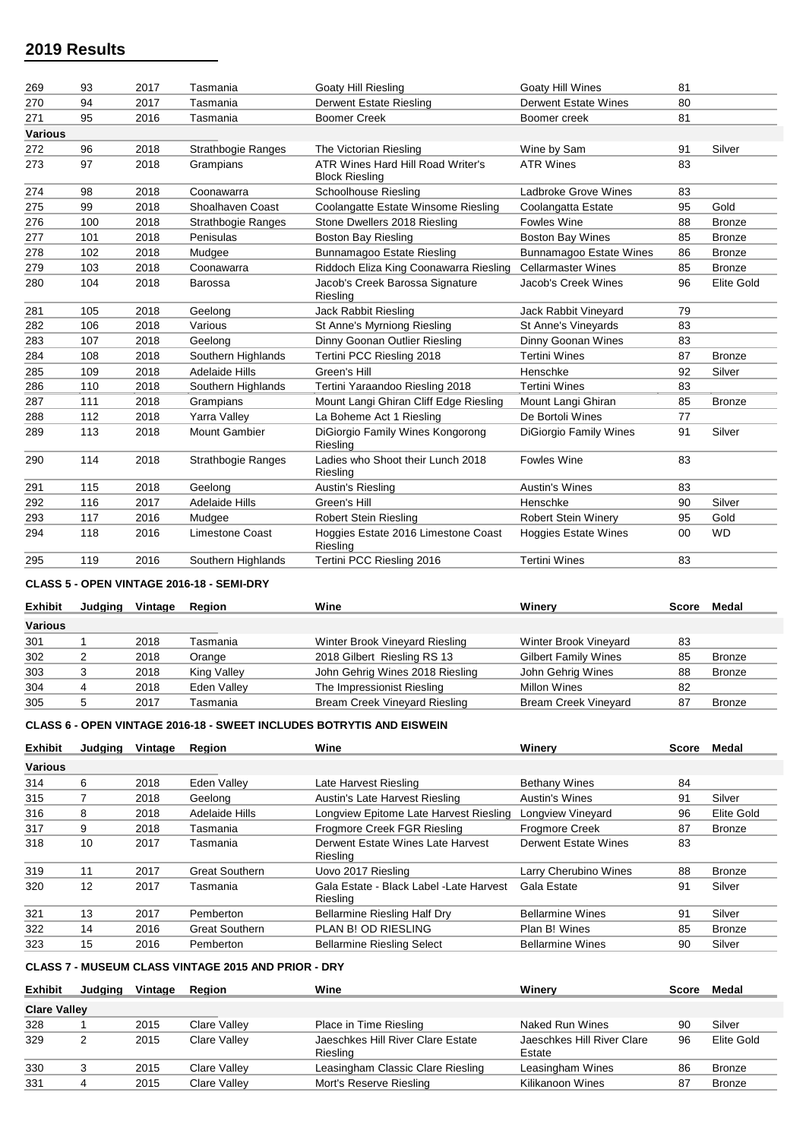| 269            | 93  | 2017 | Tasmania                  | <b>Goaty Hill Riesling</b>                                 | Goaty Hill Wines               | 81 |                   |
|----------------|-----|------|---------------------------|------------------------------------------------------------|--------------------------------|----|-------------------|
| 270            | 94  | 2017 | Tasmania                  | <b>Derwent Estate Riesling</b>                             | <b>Derwent Estate Wines</b>    | 80 |                   |
| 271            | 95  | 2016 | Tasmania                  | <b>Boomer Creek</b>                                        | Boomer creek                   | 81 |                   |
| <b>Various</b> |     |      |                           |                                                            |                                |    |                   |
| 272            | 96  | 2018 | <b>Strathbogie Ranges</b> | The Victorian Riesling                                     | Wine by Sam                    | 91 | Silver            |
| 273            | 97  | 2018 | Grampians                 | ATR Wines Hard Hill Road Writer's<br><b>Block Riesling</b> | <b>ATR Wines</b>               | 83 |                   |
| 274            | 98  | 2018 | Coonawarra                | <b>Schoolhouse Riesling</b>                                | Ladbroke Grove Wines           | 83 |                   |
| 275            | 99  | 2018 | Shoalhaven Coast          | Coolangatte Estate Winsome Riesling                        | Coolangatta Estate             | 95 | Gold              |
| 276            | 100 | 2018 | <b>Strathbogie Ranges</b> | Stone Dwellers 2018 Riesling                               | <b>Fowles Wine</b>             | 88 | <b>Bronze</b>     |
| 277            | 101 | 2018 | Penisulas                 | <b>Boston Bay Riesling</b>                                 | <b>Boston Bay Wines</b>        | 85 | <b>Bronze</b>     |
| 278            | 102 | 2018 | Mudgee                    | Bunnamagoo Estate Riesling                                 | <b>Bunnamagoo Estate Wines</b> | 86 | <b>Bronze</b>     |
| 279            | 103 | 2018 | Coonawarra                | Riddoch Eliza King Coonawarra Riesling                     | <b>Cellarmaster Wines</b>      | 85 | <b>Bronze</b>     |
| 280            | 104 | 2018 | <b>Barossa</b>            | Jacob's Creek Barossa Signature<br>Riesling                | Jacob's Creek Wines            | 96 | <b>Elite Gold</b> |
| 281            | 105 | 2018 | Geelong                   | Jack Rabbit Riesling                                       | Jack Rabbit Vineyard           | 79 |                   |
| 282            | 106 | 2018 | Various                   | St Anne's Myrniong Riesling                                | St Anne's Vineyards            | 83 |                   |
| 283            | 107 | 2018 | Geelong                   | Dinny Goonan Outlier Riesling                              | Dinny Goonan Wines             | 83 |                   |
| 284            | 108 | 2018 | Southern Highlands        | Tertini PCC Riesling 2018                                  | <b>Tertini Wines</b>           | 87 | <b>Bronze</b>     |
| 285            | 109 | 2018 | <b>Adelaide Hills</b>     | Green's Hill                                               | Henschke                       | 92 | Silver            |
| 286            | 110 | 2018 | Southern Highlands        | Tertini Yaraandoo Riesling 2018                            | <b>Tertini Wines</b>           | 83 |                   |
| 287            | 111 | 2018 | Grampians                 | Mount Langi Ghiran Cliff Edge Riesling                     | Mount Langi Ghiran             | 85 | <b>Bronze</b>     |
| 288            | 112 | 2018 | Yarra Valley              | La Boheme Act 1 Riesling                                   | De Bortoli Wines               | 77 |                   |
| 289            | 113 | 2018 | <b>Mount Gambier</b>      | DiGiorgio Family Wines Kongorong<br>Riesling               | <b>DiGiorgio Family Wines</b>  | 91 | Silver            |
| 290            | 114 | 2018 | <b>Strathbogie Ranges</b> | Ladies who Shoot their Lunch 2018<br>Riesling              | <b>Fowles Wine</b>             | 83 |                   |
| 291            | 115 | 2018 | Geelona                   | Austin's Riesling                                          | <b>Austin's Wines</b>          | 83 |                   |
| 292            | 116 | 2017 | Adelaide Hills            | Green's Hill                                               | Henschke                       | 90 | Silver            |
| 293            | 117 | 2016 | Mudgee                    | <b>Robert Stein Riesling</b>                               | <b>Robert Stein Winery</b>     | 95 | Gold              |
| 294            | 118 | 2016 | <b>Limestone Coast</b>    | Hoggies Estate 2016 Limestone Coast<br>Riesling            | <b>Hoggies Estate Wines</b>    | 00 | <b>WD</b>         |
| 295            | 119 | 2016 | Southern Highlands        | Tertini PCC Riesling 2016                                  | <b>Tertini Wines</b>           | 83 |                   |
|                |     |      |                           |                                                            |                                |    |                   |

### **CLASS 5 - OPEN VINTAGE 2016-18 - SEMI-DRY**

| <b>Exhibit</b> | Judaina | Vintage | Reaion      | Wine                                 | Winerv                      | Score | Medal         |
|----------------|---------|---------|-------------|--------------------------------------|-----------------------------|-------|---------------|
| Various        |         |         |             |                                      |                             |       |               |
| 301            |         | 2018    | Tasmania    | Winter Brook Vineyard Riesling       | Winter Brook Vineyard       | 83    |               |
| 302            |         | 2018    | Orange      | 2018 Gilbert Riesling RS 13          | <b>Gilbert Family Wines</b> | 85    | <b>Bronze</b> |
| 303            |         | 2018    | King Valley | John Gehrig Wines 2018 Riesling      | John Gehrig Wines           | 88    | <b>Bronze</b> |
| 304            |         | 2018    | Eden Valley | The Impressionist Riesling           | <b>Millon Wines</b>         | 82    |               |
| 305            |         | 2017    | Tasmania    | <b>Bream Creek Vineyard Riesling</b> | <b>Bream Creek Vineyard</b> | 87    | <b>Bronze</b> |

### **CLASS 6 - OPEN VINTAGE 2016-18 - SWEET INCLUDES BOTRYTIS AND EISWEIN**

| <b>Exhibit</b> | Judaina | Vintage | <b>Region</b>         | Wine                                                 | Winerv                  | Score | Medal         |
|----------------|---------|---------|-----------------------|------------------------------------------------------|-------------------------|-------|---------------|
| <b>Various</b> |         |         |                       |                                                      |                         |       |               |
| 314            | 6       | 2018    | Eden Valley           | Late Harvest Riesling                                | <b>Bethany Wines</b>    | 84    |               |
| 315            |         | 2018    | Geelona               | Austin's Late Harvest Riesling                       | <b>Austin's Wines</b>   | 91    | Silver        |
| 316            | 8       | 2018    | Adelaide Hills        | Longview Epitome Late Harvest Riesling               | Longview Vineyard       | 96    | Elite Gold    |
| 317            | 9       | 2018    | Tasmania              | Frogmore Creek FGR Riesling                          | <b>Frogmore Creek</b>   | 87    | <b>Bronze</b> |
| 318            | 10      | 2017    | Tasmania              | Derwent Estate Wines Late Harvest<br>Riesling        | Derwent Estate Wines    | 83    |               |
| 319            | 11      | 2017    | <b>Great Southern</b> | Uovo 2017 Riesling                                   | Larry Cherubino Wines   | 88    | <b>Bronze</b> |
| 320            | 12      | 2017    | Tasmania              | Gala Estate - Black Label - Late Harvest<br>Riesling | Gala Estate             | 91    | Silver        |
| 321            | 13      | 2017    | Pemberton             | <b>Bellarmine Riesling Half Dry</b>                  | <b>Bellarmine Wines</b> | 91    | Silver        |
| 322            | 14      | 2016    | <b>Great Southern</b> | PLAN B! OD RIESLING                                  | Plan B! Wines           | 85    | <b>Bronze</b> |
| 323            | 15      | 2016    | Pemberton             | <b>Bellarmine Riesling Select</b>                    | <b>Bellarmine Wines</b> | 90    | Silver        |

## **CLASS 7 - MUSEUM CLASS VINTAGE 2015 AND PRIOR - DRY**

| <b>Exhibit</b>      | Judaina | Vintage | <b>Region</b> | Wine                                          | Winerv                               | Score | Medal         |
|---------------------|---------|---------|---------------|-----------------------------------------------|--------------------------------------|-------|---------------|
| <b>Clare Valley</b> |         |         |               |                                               |                                      |       |               |
| 328                 |         | 2015    | Clare Valley  | Place in Time Riesling                        | Naked Run Wines                      | 90    | Silver        |
| 329                 |         | 2015    | Clare Vallev  | Jaeschkes Hill River Clare Estate<br>Riesling | Jaeschkes Hill River Clare<br>Estate | 96    | Elite Gold    |
| 330                 |         | 2015    | Clare Valley  | Leasingham Classic Clare Riesling             | Leasingham Wines                     | 86    | <b>Bronze</b> |
| 331                 |         | 2015    | Clare Valley  | Mort's Reserve Riesling                       | Kilikanoon Wines                     |       | <b>Bronze</b> |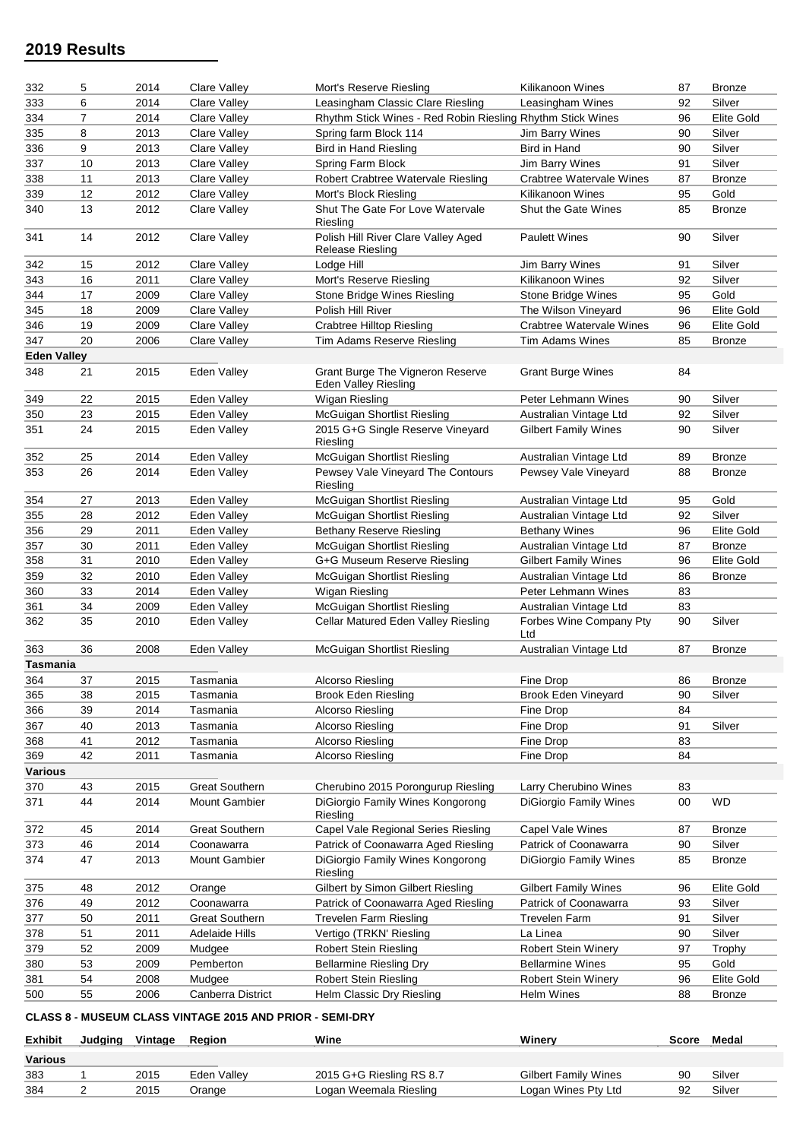| 332                | 5  | 2014 | Clare Valley          | Mort's Reserve Riesling                                        | Kilikanoon Wines              | 87     | <b>Bronze</b>     |
|--------------------|----|------|-----------------------|----------------------------------------------------------------|-------------------------------|--------|-------------------|
| 333                | 6  | 2014 | Clare Valley          | Leasingham Classic Clare Riesling                              | Leasingham Wines              | 92     | Silver            |
| 334                | 7  | 2014 | <b>Clare Valley</b>   | Rhythm Stick Wines - Red Robin Riesling Rhythm Stick Wines     |                               | 96     | Elite Gold        |
| 335                | 8  | 2013 | Clare Valley          | Spring farm Block 114                                          | Jim Barry Wines               | 90     | Silver            |
| 336                | 9  | 2013 | <b>Clare Valley</b>   | <b>Bird in Hand Riesling</b>                                   | Bird in Hand                  | 90     | Silver            |
| 337                | 10 | 2013 | <b>Clare Valley</b>   | Spring Farm Block                                              | Jim Barry Wines               | 91     | Silver            |
| 338                | 11 | 2013 | <b>Clare Valley</b>   | Robert Crabtree Watervale Riesling                             | Crabtree Watervale Wines      | 87     | <b>Bronze</b>     |
| 339                | 12 | 2012 | <b>Clare Valley</b>   | Mort's Block Riesling                                          | Kilikanoon Wines              | 95     | Gold              |
| 340                | 13 | 2012 | <b>Clare Valley</b>   | Shut The Gate For Love Watervale<br>Riesling                   | <b>Shut the Gate Wines</b>    | 85     | <b>Bronze</b>     |
| 341                | 14 | 2012 | <b>Clare Valley</b>   | Polish Hill River Clare Valley Aged<br><b>Release Riesling</b> | <b>Paulett Wines</b>          | 90     | Silver            |
| 342                | 15 | 2012 | <b>Clare Valley</b>   | Lodge Hill                                                     | Jim Barry Wines               | 91     | Silver            |
| 343                | 16 | 2011 | <b>Clare Valley</b>   | Mort's Reserve Riesling                                        | Kilikanoon Wines              | 92     | Silver            |
| 344                | 17 | 2009 | Clare Valley          | Stone Bridge Wines Riesling                                    | Stone Bridge Wines            | 95     | Gold              |
| 345                | 18 | 2009 | Clare Valley          | Polish Hill River                                              | The Wilson Vineyard           | 96     | Elite Gold        |
| 346                | 19 | 2009 | <b>Clare Valley</b>   | <b>Crabtree Hilltop Riesling</b>                               | Crabtree Watervale Wines      | 96     | Elite Gold        |
| 347                | 20 | 2006 | Clare Valley          | Tim Adams Reserve Riesling                                     | <b>Tim Adams Wines</b>        | 85     | <b>Bronze</b>     |
| <b>Eden Valley</b> |    |      |                       |                                                                |                               |        |                   |
| 348                | 21 | 2015 | Eden Valley           | Grant Burge The Vigneron Reserve<br>Eden Valley Riesling       | <b>Grant Burge Wines</b>      | 84     |                   |
| 349                | 22 | 2015 | Eden Valley           | Wigan Riesling                                                 | Peter Lehmann Wines           | 90     | Silver            |
| 350                | 23 | 2015 | Eden Valley           | McGuigan Shortlist Riesling                                    | Australian Vintage Ltd        | 92     | Silver            |
| 351                | 24 | 2015 | Eden Valley           | 2015 G+G Single Reserve Vineyard<br>Riesling                   | <b>Gilbert Family Wines</b>   | 90     | Silver            |
| 352                | 25 | 2014 | Eden Valley           | McGuigan Shortlist Riesling                                    | Australian Vintage Ltd        | 89     | <b>Bronze</b>     |
| 353                | 26 | 2014 | Eden Valley           | Pewsey Vale Vineyard The Contours<br>Riesling                  | Pewsey Vale Vineyard          | 88     | <b>Bronze</b>     |
| 354                | 27 | 2013 | Eden Valley           | McGuigan Shortlist Riesling                                    | Australian Vintage Ltd        | 95     | Gold              |
| 355                | 28 | 2012 | Eden Valley           | McGuigan Shortlist Riesling                                    | Australian Vintage Ltd        | 92     | Silver            |
| 356                | 29 | 2011 | Eden Valley           | Bethany Reserve Riesling                                       | <b>Bethany Wines</b>          | 96     | <b>Elite Gold</b> |
| 357                | 30 | 2011 | Eden Valley           | <b>McGuigan Shortlist Riesling</b>                             | Australian Vintage Ltd        | 87     | <b>Bronze</b>     |
| 358                | 31 | 2010 | Eden Valley           | G+G Museum Reserve Riesling                                    | <b>Gilbert Family Wines</b>   | 96     | <b>Elite Gold</b> |
| 359                | 32 | 2010 | Eden Valley           | McGuigan Shortlist Riesling                                    | Australian Vintage Ltd        | 86     | Bronze            |
| 360                | 33 | 2014 | Eden Valley           | Wigan Riesling                                                 | Peter Lehmann Wines           | 83     |                   |
| 361                | 34 | 2009 | Eden Valley           | <b>McGuigan Shortlist Riesling</b>                             | Australian Vintage Ltd        | 83     |                   |
| 362                | 35 | 2010 | Eden Valley           | Cellar Matured Eden Valley Riesling                            | Forbes Wine Company Pty       | 90     | Silver            |
|                    |    |      |                       |                                                                | Ltd                           |        |                   |
| 363                | 36 | 2008 | Eden Valley           | <b>McGuigan Shortlist Riesling</b>                             | Australian Vintage Ltd        | 87     | <b>Bronze</b>     |
| <b>Tasmania</b>    |    |      |                       |                                                                |                               |        |                   |
| 364                | 37 | 2015 | Tasmania              | Alcorso Riesling                                               | Fine Drop                     | 86     | <b>Bronze</b>     |
| 365                | 38 | 2015 | Tasmania              | <b>Brook Eden Riesling</b>                                     | <b>Brook Eden Vineyard</b>    | 90     | Silver            |
| 366                | 39 | 2014 | Tasmania              | Alcorso Riesling                                               | Fine Drop                     | 84     |                   |
| 367                | 40 | 2013 | Tasmania              | Alcorso Riesling                                               | Fine Drop                     | 91     | Silver            |
| 368                | 41 | 2012 | Tasmania              | Alcorso Riesling                                               | Fine Drop                     | 83     |                   |
| 369                | 42 | 2011 | Tasmania              | Alcorso Riesling                                               | Fine Drop                     | 84     |                   |
| <b>Various</b>     |    |      |                       |                                                                |                               |        |                   |
| 370                | 43 | 2015 | <b>Great Southern</b> | Cherubino 2015 Porongurup Riesling                             | Larry Cherubino Wines         | 83     |                   |
| 371                | 44 | 2014 | Mount Gambier         | DiGiorgio Family Wines Kongorong<br>Riesling                   | <b>DiGiorgio Family Wines</b> | $00\,$ | WD                |
| 372                | 45 | 2014 | <b>Great Southern</b> | Capel Vale Regional Series Riesling                            | Capel Vale Wines              | 87     | <b>Bronze</b>     |
| 373                | 46 | 2014 | Coonawarra            | Patrick of Coonawarra Aged Riesling                            | Patrick of Coonawarra         | 90     | Silver            |
| 374                | 47 | 2013 | <b>Mount Gambier</b>  | DiGiorgio Family Wines Kongorong<br>Riesling                   | DiGiorgio Family Wines        | 85     | <b>Bronze</b>     |
| 375                | 48 | 2012 | Orange                | Gilbert by Simon Gilbert Riesling                              | <b>Gilbert Family Wines</b>   | 96     | <b>Elite Gold</b> |
| 376                | 49 | 2012 | Coonawarra            | Patrick of Coonawarra Aged Riesling                            | Patrick of Coonawarra         | 93     | Silver            |
| 377                | 50 | 2011 | <b>Great Southern</b> | <b>Trevelen Farm Riesling</b>                                  | <b>Trevelen Farm</b>          | 91     | Silver            |
| 378                | 51 | 2011 | Adelaide Hills        | Vertigo (TRKN' Riesling                                        | La Linea                      | 90     | Silver            |
| 379                | 52 | 2009 | Mudgee                | <b>Robert Stein Riesling</b>                                   | <b>Robert Stein Winery</b>    | 97     | Trophy            |
| 380                | 53 | 2009 | Pemberton             | <b>Bellarmine Riesling Dry</b>                                 | <b>Bellarmine Wines</b>       | 95     | Gold              |
| 381                | 54 | 2008 | Mudgee                | <b>Robert Stein Riesling</b>                                   | <b>Robert Stein Winery</b>    | 96     | Elite Gold        |
| 500                | 55 | 2006 | Canberra District     | Helm Classic Dry Riesling                                      | Helm Wines                    | 88     | <b>Bronze</b>     |
|                    |    |      |                       |                                                                |                               |        |                   |

**CLASS 8 - MUSEUM CLASS VINTAGE 2015 AND PRIOR - SEMI-DRY**

| <b>Exhibit</b> | Judaina | Vintage | Region      | Wine                     | Winerv                      | Score | Medal  |
|----------------|---------|---------|-------------|--------------------------|-----------------------------|-------|--------|
| <b>Various</b> |         |         |             |                          |                             |       |        |
| 383            |         | 2015    | Eden Vallev | 2015 G+G Riesling RS 8.7 | <b>Gilbert Family Wines</b> |       | Silver |
| 384            |         | 2015    | Orange      | Logan Weemala Riesling   | Logan Wines Pty Ltd         |       | Silver |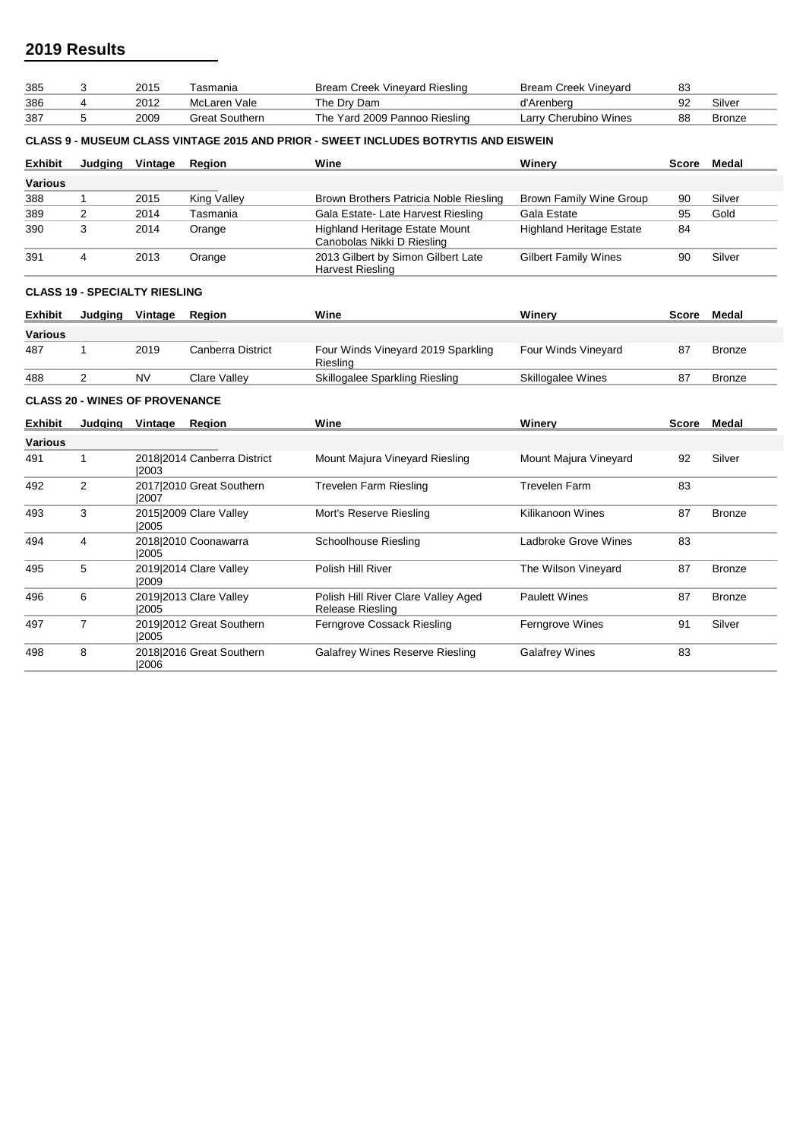| 385            | 3                                     | 2015      | Tasmania                    | <b>Bream Creek Vineyard Riesling</b>                                                       | <b>Bream Creek Vineyard</b>     | 83           |               |
|----------------|---------------------------------------|-----------|-----------------------------|--------------------------------------------------------------------------------------------|---------------------------------|--------------|---------------|
| 386            | 4                                     | 2012      | McLaren Vale                | The Dry Dam                                                                                | d'Arenberg                      | 92           | Silver        |
| 387            | 5                                     | 2009      | <b>Great Southern</b>       | The Yard 2009 Pannoo Riesling                                                              | Larry Cherubino Wines           | 88           | <b>Bronze</b> |
|                |                                       |           |                             | <b>CLASS 9 - MUSEUM CLASS VINTAGE 2015 AND PRIOR - SWEET INCLUDES BOTRYTIS AND EISWEIN</b> |                                 |              |               |
| <b>Exhibit</b> | Judging                               | Vintage   | Region                      | Wine                                                                                       | Winery                          | Score        | Medal         |
| <b>Various</b> |                                       |           |                             |                                                                                            |                                 |              |               |
| 388            | $\mathbf{1}$                          | 2015      | <b>King Valley</b>          | Brown Brothers Patricia Noble Riesling                                                     | <b>Brown Family Wine Group</b>  | 90           | Silver        |
| 389            | $\overline{2}$                        | 2014      | Tasmania                    | Gala Estate- Late Harvest Riesling                                                         | Gala Estate                     | 95           | Gold          |
| 390            | 3                                     | 2014      | Orange                      | Highland Heritage Estate Mount<br>Canobolas Nikki D Riesling                               | <b>Highland Heritage Estate</b> | 84           |               |
| 391            | 4                                     | 2013      | Orange                      | 2013 Gilbert by Simon Gilbert Late<br><b>Harvest Riesling</b>                              | <b>Gilbert Family Wines</b>     | 90           | Silver        |
|                | <b>CLASS 19 - SPECIALTY RIESLING</b>  |           |                             |                                                                                            |                                 |              |               |
| <b>Exhibit</b> | Judging                               | Vintage   | Region                      | Wine                                                                                       | Winery                          | Score        | Medal         |
| <b>Various</b> |                                       |           |                             |                                                                                            |                                 |              |               |
| 487            | $\mathbf{1}$                          | 2019      | <b>Canberra District</b>    | Four Winds Vineyard 2019 Sparkling<br>Riesling                                             | Four Winds Vineyard             | 87           | <b>Bronze</b> |
| 488            | 2                                     | <b>NV</b> | <b>Clare Valley</b>         | Skillogalee Sparkling Riesling                                                             | Skillogalee Wines               | 87           | <b>Bronze</b> |
|                | <b>CLASS 20 - WINES OF PROVENANCE</b> |           |                             |                                                                                            |                                 |              |               |
| <b>Exhibit</b> | Judging Vintage                       |           | Region                      | Wine                                                                                       | Winery                          | <b>Score</b> | Medal         |
| Various        |                                       |           |                             |                                                                                            |                                 |              |               |
| 491            | 1                                     | 12003     | 2018 2014 Canberra District | Mount Majura Vineyard Riesling                                                             | Mount Majura Vineyard           | 92           | Silver        |
| 492            | $\overline{2}$                        | 12007     | 2017 2010 Great Southern    | <b>Trevelen Farm Riesling</b>                                                              | <b>Trevelen Farm</b>            | 83           |               |
| 493            | 3                                     | 12005     | 2015 2009 Clare Valley      | Mort's Reserve Riesling                                                                    | <b>Kilikanoon Wines</b>         | 87           | <b>Bronze</b> |
| 494            | 4                                     | 12005     | 2018 2010 Coonawarra        | Schoolhouse Riesling                                                                       | Ladbroke Grove Wines            | 83           |               |
| 495            | 5                                     | 2009      | 2019 2014 Clare Valley      | Polish Hill River                                                                          | The Wilson Vineyard             | 87           | <b>Bronze</b> |
| 496            | 6                                     | 2005      | 2019 2013 Clare Valley      | Polish Hill River Clare Valley Aged<br>Release Riesling                                    | <b>Paulett Wines</b>            | 87           | <b>Bronze</b> |
| 497            | $\overline{7}$                        | 2005      | 2019 2012 Great Southern    | Ferngrove Cossack Riesling                                                                 | Ferngrove Wines                 | 91           | Silver        |
| 498            | 8                                     | 2006      | 2018 2016 Great Southern    | <b>Galafrey Wines Reserve Riesling</b>                                                     | <b>Galafrey Wines</b>           | 83           |               |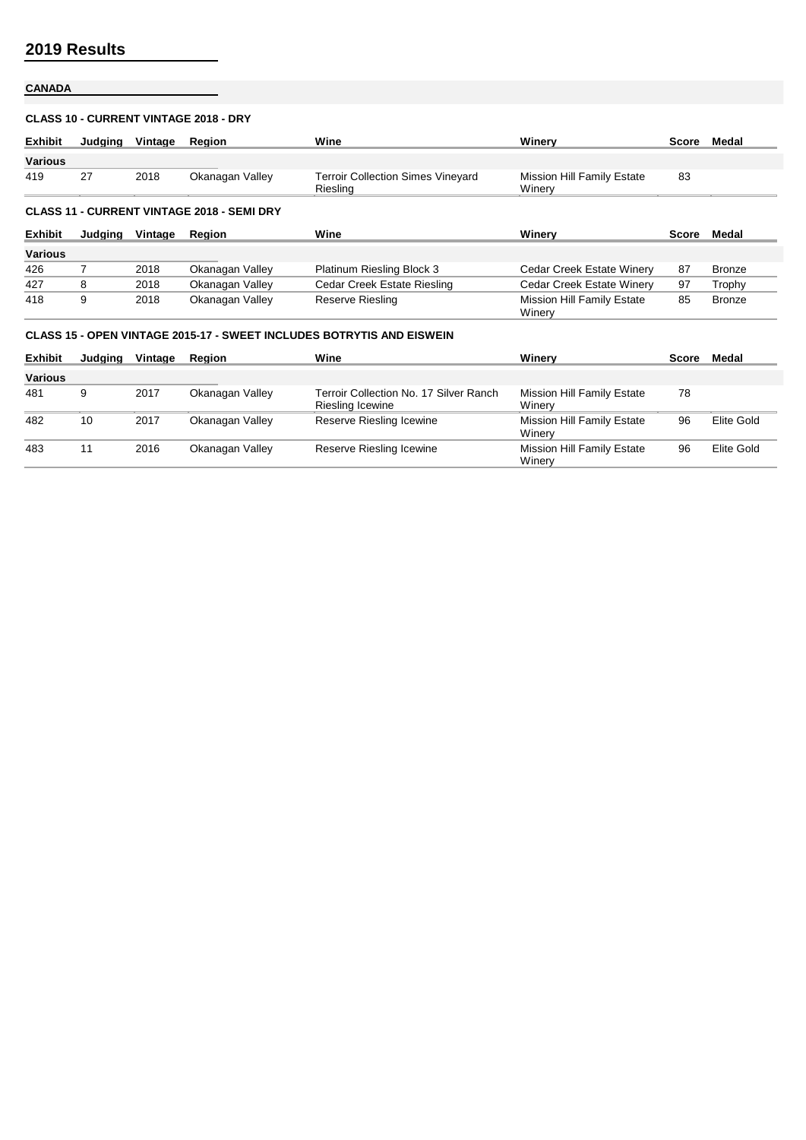# **CANADA**

## **CLASS 10 - CURRENT VINTAGE 2018 - DRY**

| <b>Exhibit</b> | Judaina | Vintage | Region                                            | Wine                                                                         | Winerv                                      | Score | Medal         |
|----------------|---------|---------|---------------------------------------------------|------------------------------------------------------------------------------|---------------------------------------------|-------|---------------|
| <b>Various</b> |         |         |                                                   |                                                                              |                                             |       |               |
| 419            | 27      | 2018    | Okanagan Valley                                   | <b>Terroir Collection Simes Vineyard</b><br>Riesling                         | <b>Mission Hill Family Estate</b><br>Winerv | 83    |               |
|                |         |         | <b>CLASS 11 - CURRENT VINTAGE 2018 - SEMI DRY</b> |                                                                              |                                             |       |               |
| <b>Exhibit</b> | Judaina | Vintage | Region                                            | Wine                                                                         | Winerv                                      | Score | Medal         |
| <b>Various</b> |         |         |                                                   |                                                                              |                                             |       |               |
| 426            | 7       | 2018    | Okanagan Valley                                   | Platinum Riesling Block 3                                                    | Cedar Creek Estate Winery                   | 87    | <b>Bronze</b> |
| 427            | 8       | 2018    | Okanagan Valley                                   | Cedar Creek Estate Riesling                                                  | Cedar Creek Estate Winery                   | 97    | Trophy        |
| 418            | 9       | 2018    | Okanagan Valley                                   | Reserve Riesling                                                             | <b>Mission Hill Family Estate</b><br>Winery | 85    | <b>Bronze</b> |
|                |         |         |                                                   | <b>CLASS 15 - OPEN VINTAGE 2015-17 - SWEET INCLUDES BOTRYTIS AND EISWEIN</b> |                                             |       |               |
| <b>Exhibit</b> | Judaina | Vintage | Region                                            | Wine                                                                         | Winerv                                      | Score | Medal         |

|                | --------- |      |                 |                                                            | .                                           |    |            |
|----------------|-----------|------|-----------------|------------------------------------------------------------|---------------------------------------------|----|------------|
| <b>Various</b> |           |      |                 |                                                            |                                             |    |            |
| 481            | 9         | 2017 | Okanagan Valley | Terroir Collection No. 17 Silver Ranch<br>Riesling Icewine | <b>Mission Hill Family Estate</b><br>Winerv | 78 |            |
| 482            | 10        | 2017 | Okanagan Valley | Reserve Riesling Icewine                                   | Mission Hill Family Estate<br>Winery        | 96 | Elite Gold |
| 483            | 11        | 2016 | Okanagan Valley | Reserve Riesling Icewine                                   | <b>Mission Hill Family Estate</b><br>Winerv | 96 | Elite Gold |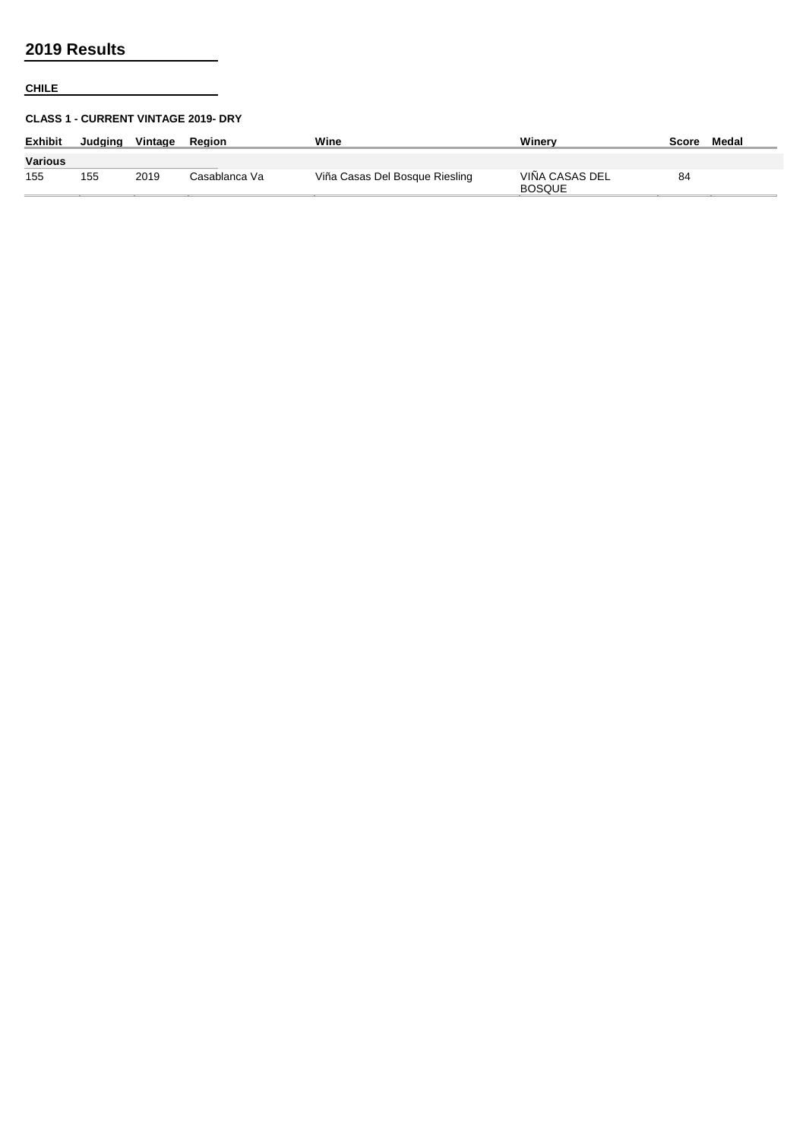## **CHILE**

## **CLASS 1 - CURRENT VINTAGE 2019- DRY**

| <b>Exhibit</b> | Judaina | Vintage | Reaion        | Wine                           | Winerv                          | Score | Medal |
|----------------|---------|---------|---------------|--------------------------------|---------------------------------|-------|-------|
| <b>Various</b> |         |         |               |                                |                                 |       |       |
| 155            | 155     | 2019    | Casablanca Va | Viña Casas Del Bosque Riesling | VIÑA CASAS DEL<br><b>BOSQUE</b> | 84    |       |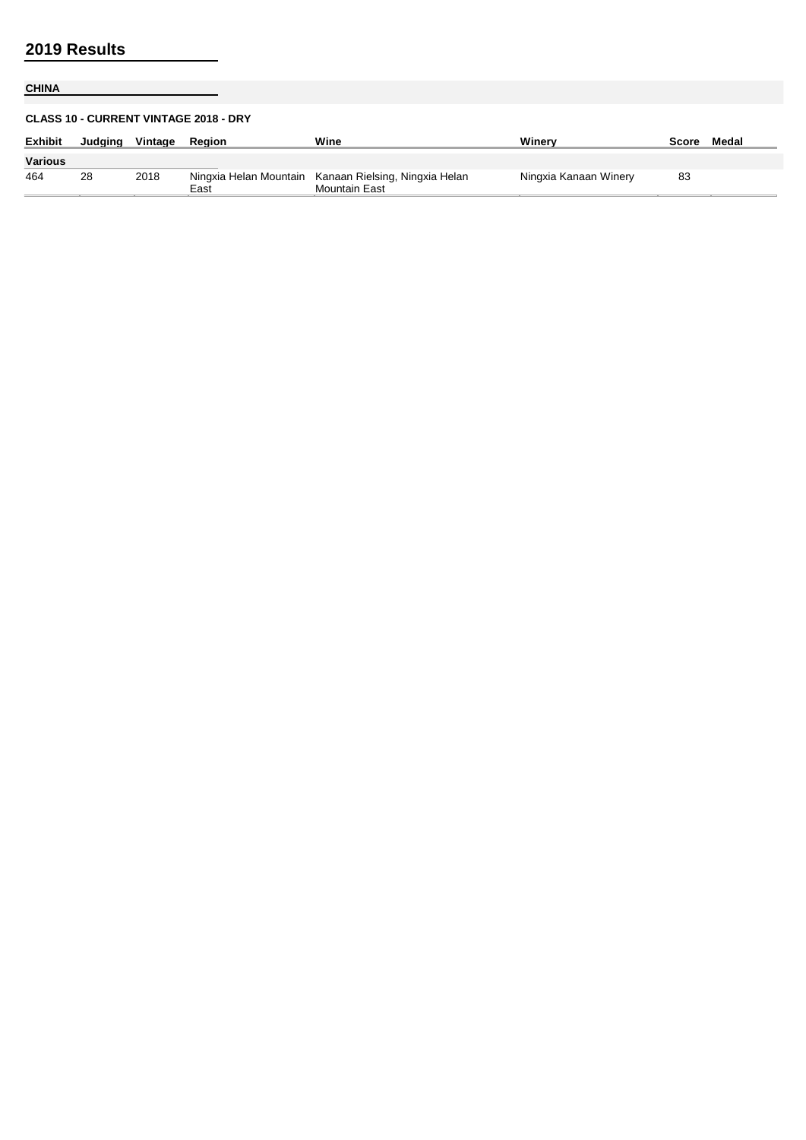# **CHINA**

## **CLASS 10 - CURRENT VINTAGE 2018 - DRY**

| <b>Exhibit</b> | Judaina | Vintage | Reaion | Wine                                                                   | Winerv                | Score | Medal |
|----------------|---------|---------|--------|------------------------------------------------------------------------|-----------------------|-------|-------|
| Various        |         |         |        |                                                                        |                       |       |       |
| 464            | 28      | 2018    | East   | Ningxia Helan Mountain Kanaan Rielsing, Ningxia Helan<br>Mountain East | Ningxia Kanaan Winery | 83    |       |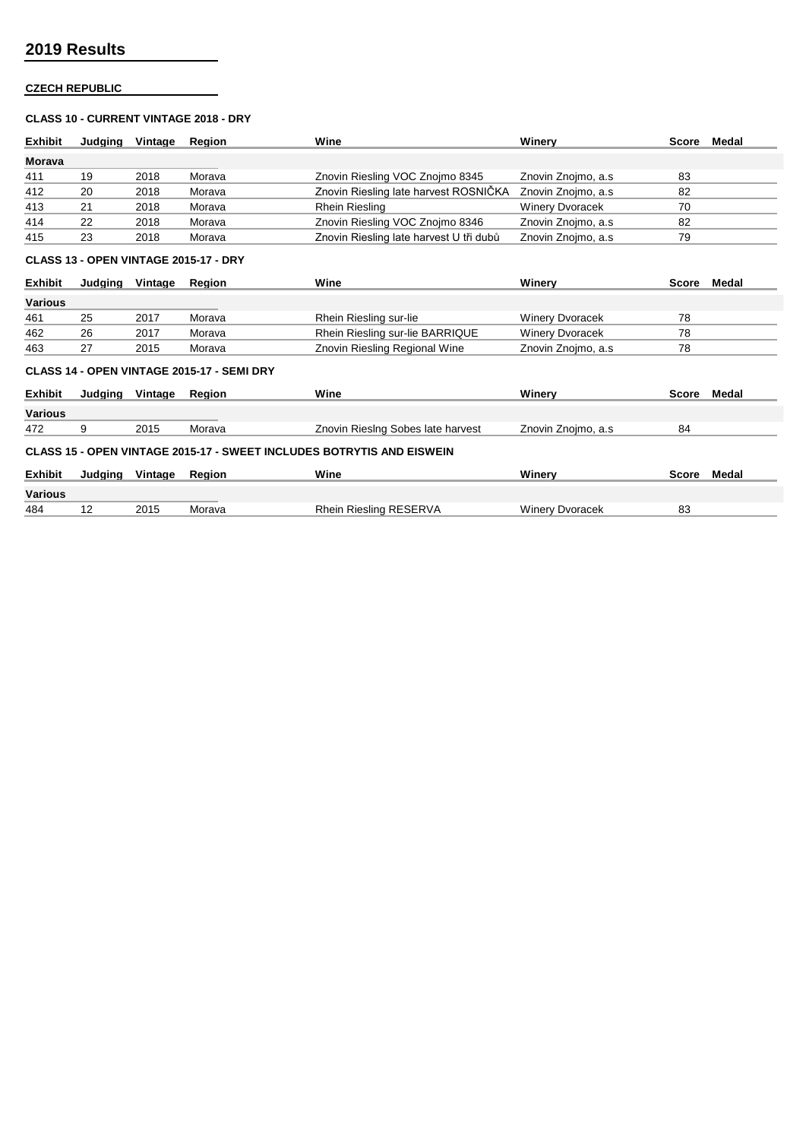## **CZECH REPUBLIC**

### **CLASS 10 - CURRENT VINTAGE 2018 - DRY**

| <b>Exhibit</b> | Judaina | Vintage | Reaion | Wine                                    | Winerv                 | Score | Medal |
|----------------|---------|---------|--------|-----------------------------------------|------------------------|-------|-------|
| <b>Morava</b>  |         |         |        |                                         |                        |       |       |
| 411            | 19      | 2018    | Morava | Znovin Riesling VOC Znojmo 8345         | Znovin Znojmo, a.s.    | 83    |       |
| 412            | 20      | 2018    | Morava | Znovin Riesling late harvest ROSNIČKA   | Znovin Znojmo, a.s     | 82    |       |
| 413            | 21      | 2018    | Morava | Rhein Riesling                          | <b>Winery Dvoracek</b> | 70    |       |
| 414            | 22      | 2018    | Morava | Znovin Riesling VOC Znojmo 8346         | Znovin Znojmo, a.s.    | 82    |       |
| 415            | 23      | 2018    | Morava | Znovin Riesling late harvest U tři dubů | Znovin Znojmo, a.s.    | 79    |       |

### **CLASS 13 - OPEN VINTAGE 2015-17 - DRY**

| <b>Exhibit</b> | Judaina | Vintage | <b>Region</b>                              | Wine                            | Winerv                 | Score        | Medal |
|----------------|---------|---------|--------------------------------------------|---------------------------------|------------------------|--------------|-------|
| <b>Various</b> |         |         |                                            |                                 |                        |              |       |
| 461            | 25      | 2017    | Morava                                     | Rhein Riesling sur-lie          | <b>Winery Dvoracek</b> | 78           |       |
| 462            | 26      | 2017    | Morava                                     | Rhein Riesling sur-lie BARRIQUE | <b>Winery Dvoracek</b> | 78           |       |
| 463            | 27      | 2015    | Morava                                     | Znovin Riesling Regional Wine   | Znovin Znojmo, a.s.    | 78           |       |
|                |         |         | CLASS 14 - OPEN VINTAGE 2015-17 - SEMI DRY |                                 |                        |              |       |
| <b>Exhibit</b> | Judging | Vintage | <b>Region</b>                              | Wine                            | Winerv                 | <b>Score</b> | Medal |

| Various        |         |         |               |                                                                                      |                    |              |       |
|----------------|---------|---------|---------------|--------------------------------------------------------------------------------------|--------------------|--------------|-------|
| 472            |         | 2015    | Morava        | Znovin Rieslng Sobes late harvest                                                    | Znovin Znojmo, a.s | 84           |       |
| <b>Exhibit</b> | Judging | Vintage | <b>Region</b> | <b>CLASS 15 - OPEN VINTAGE 2015-17 - SWEET INCLUDES BOTRYTIS AND EISWEIN</b><br>Wine | Winerv             | <b>Score</b> | Medal |

| <b>Various</b> |     |                 |                 |       |         |
|----------------|-----|-----------------|-----------------|-------|---------|
| 484            | . . | つへィに<br>ں ان 20 | Rhein<br>SER\/∆ | acek" | o٥<br>൦ |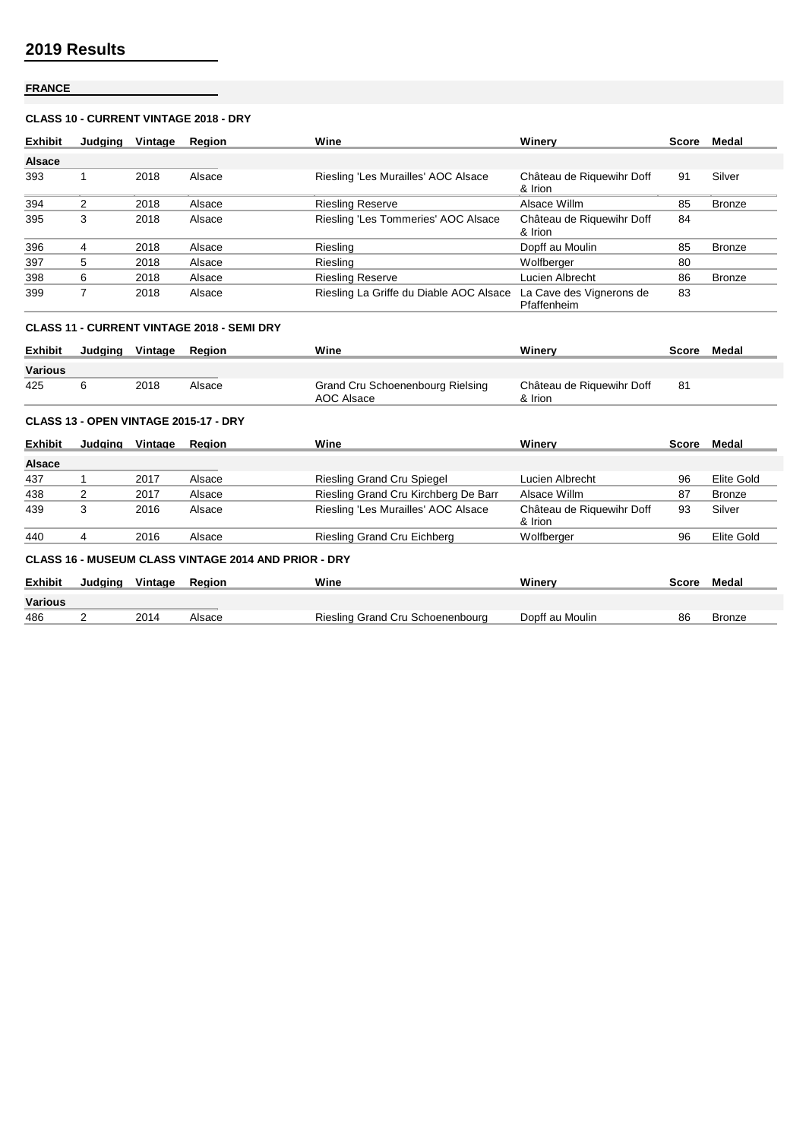## **FRANCE**

## **CLASS 10 - CURRENT VINTAGE 2018 - DRY**

| <b>Exhibit</b> | Judging        | Vintage | Region                                            | Wine                                           | Winery                                  | Score | Medal         |
|----------------|----------------|---------|---------------------------------------------------|------------------------------------------------|-----------------------------------------|-------|---------------|
| <b>Alsace</b>  |                |         |                                                   |                                                |                                         |       |               |
| 393            | 1              | 2018    | Alsace                                            | Riesling 'Les Murailles' AOC Alsace            | Château de Riquewihr Doff<br>& Irion    | 91    | Silver        |
| 394            | $\overline{2}$ | 2018    | Alsace                                            | <b>Riesling Reserve</b>                        | Alsace Willm                            | 85    | <b>Bronze</b> |
| 395            | 3              | 2018    | Alsace                                            | Riesling 'Les Tommeries' AOC Alsace            | Château de Riquewihr Doff<br>& Irion    | 84    |               |
| 396            | 4              | 2018    | Alsace                                            | Riesling                                       | Dopff au Moulin                         | 85    | <b>Bronze</b> |
| 397            | 5              | 2018    | Alsace                                            | Riesling                                       | Wolfberger                              | 80    |               |
| 398            | 6              | 2018    | Alsace                                            | <b>Riesling Reserve</b>                        | Lucien Albrecht                         | 86    | <b>Bronze</b> |
| 399            | $\overline{7}$ | 2018    | Alsace                                            | Riesling La Griffe du Diable AOC Alsace        | La Cave des Vignerons de<br>Pfaffenheim | 83    |               |
|                |                |         | <b>CLASS 11 - CURRENT VINTAGE 2018 - SEMI DRY</b> |                                                |                                         |       |               |
| <b>Exhibit</b> | Judaina        | Vintage | Region                                            | Wine                                           | Winerv                                  | Score | Medal         |
| <b>Various</b> |                |         |                                                   |                                                |                                         |       |               |
| 425            | 6              | 2018    | Alsace                                            | Grand Cru Schoenenbourg Rielsing<br>AOC Alsace | Château de Riquewihr Doff<br>& Irion    | 81    |               |
|                |                |         | CLASS 13 - OPEN VINTAGE 2015-17 - DRY             |                                                |                                         |       |               |
| <b>Exhibit</b> | Judging        | Vintage | Region                                            | Wine                                           | Winery                                  | Score | Medal         |
| <b>Alsace</b>  |                |         |                                                   |                                                |                                         |       |               |

| 437            |         | 2017    | Alsace                                                      | <b>Riesling Grand Cru Spiegel</b>    | Lucien Albrecht                      | 96           | Elite Gold |
|----------------|---------|---------|-------------------------------------------------------------|--------------------------------------|--------------------------------------|--------------|------------|
| 438            |         | 2017    | Alsace                                                      | Riesling Grand Cru Kirchberg De Barr | Alsace Willm                         | 87           | Bronze     |
| 439            | 3       | 2016    | Alsace                                                      | Riesling 'Les Murailles' AOC Alsace  | Château de Riquewihr Doff<br>& Irion | 93           | Silver     |
| 440            | 4       | 2016    | Alsace                                                      | Riesling Grand Cru Eichberg          | Wolfberger                           | 96           | Elite Gold |
|                |         |         | <b>CLASS 16 - MUSEUM CLASS VINTAGE 2014 AND PRIOR - DRY</b> |                                      |                                      |              |            |
| <b>Exhibit</b> | Judaina | Vintage | Reaion                                                      | Wine                                 | Winerv                               | <b>Score</b> | Medal      |
| <b>Various</b> |         |         |                                                             |                                      |                                      |              |            |
| 486            |         | 2014    | Alsace                                                      | Riesling Grand Cru Schoenenbourg     | Dopff au Moulin                      | 86           | Bronze     |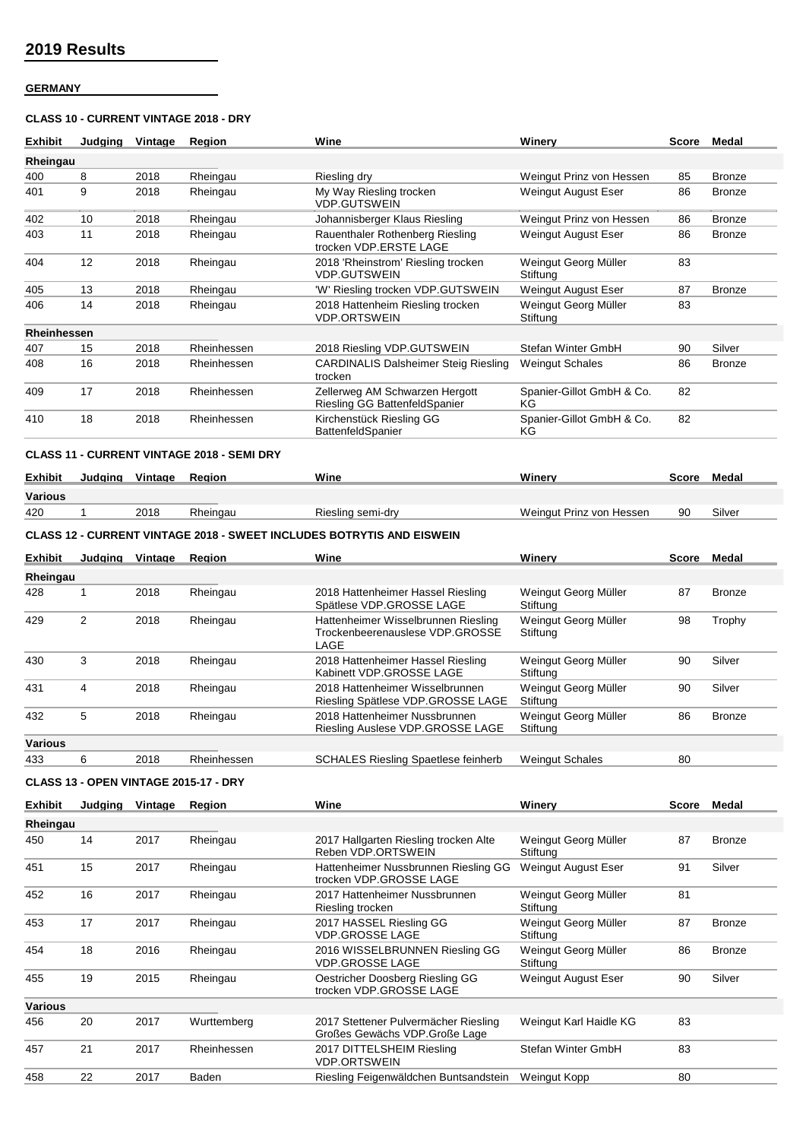## **GERMANY**

## **CLASS 10 - CURRENT VINTAGE 2018 - DRY**

| <b>Exhibit</b> |                | Judaina Vintage | <b>Region</b>                                     | Wine                                                                           | Winery                           |              | Score Medal   |
|----------------|----------------|-----------------|---------------------------------------------------|--------------------------------------------------------------------------------|----------------------------------|--------------|---------------|
| Rheingau       |                |                 |                                                   |                                                                                |                                  |              |               |
| 400            | 8              | 2018            | Rheingau                                          | Riesling dry                                                                   | Weingut Prinz von Hessen         | 85           | <b>Bronze</b> |
| 401            | 9              | 2018            | Rheingau                                          | My Way Riesling trocken<br><b>VDP.GUTSWEIN</b>                                 | Weingut August Eser              | 86           | <b>Bronze</b> |
| 402            | 10             | 2018            | Rheingau                                          | Johannisberger Klaus Riesling                                                  | Weingut Prinz von Hessen         | 86           | Bronze        |
| 403            | 11             | 2018            | Rheingau                                          | Rauenthaler Rothenberg Riesling<br>trocken VDP.ERSTE LAGE                      | <b>Weingut August Eser</b>       | 86           | Bronze        |
| 404            | 12             | 2018            | Rheingau                                          | 2018 'Rheinstrom' Riesling trocken<br><b>VDP.GUTSWEIN</b>                      | Weingut Georg Müller<br>Stiftung | 83           |               |
| 405            | 13             | 2018            | Rheingau                                          | 'W' Riesling trocken VDP.GUTSWEIN                                              | Weingut August Eser              | 87           | <b>Bronze</b> |
| 406            | 14             | 2018            | Rheingau                                          | 2018 Hattenheim Riesling trocken<br><b>VDP.ORTSWEIN</b>                        | Weingut Georg Müller<br>Stiftung | 83           |               |
| Rheinhessen    |                |                 |                                                   |                                                                                |                                  |              |               |
| 407            | 15             | 2018            | Rheinhessen                                       | 2018 Riesling VDP.GUTSWEIN                                                     | Stefan Winter GmbH               | 90           | Silver        |
| 408            | 16             | 2018            | Rheinhessen                                       | <b>CARDINALIS Dalsheimer Steig Riesling</b><br>trocken                         | <b>Weingut Schales</b>           | 86           | <b>Bronze</b> |
| 409            | 17             | 2018            | Rheinhessen                                       | Zellerweg AM Schwarzen Hergott<br>Riesling GG BattenfeldSpanier                | Spanier-Gillot GmbH & Co.<br>ΚG  | 82           |               |
| 410            | 18             | 2018            | Rheinhessen                                       | Kirchenstück Riesling GG<br>BattenfeldSpanier                                  | Spanier-Gillot GmbH & Co.<br>KG  | 82           |               |
|                |                |                 | <b>CLASS 11 - CURRENT VINTAGE 2018 - SEMI DRY</b> |                                                                                |                                  |              |               |
| <b>Exhibit</b> |                | Judging Vintage | Region                                            | Wine                                                                           | Winery                           | Score        | Medal         |
| Various        |                |                 |                                                   |                                                                                |                                  |              |               |
| 420            | $\mathbf{1}$   | 2018            | Rheingau                                          | Riesling semi-dry                                                              | Weingut Prinz von Hessen         | 90           | Silver        |
|                |                |                 |                                                   | <b>CLASS 12 - CURRENT VINTAGE 2018 - SWEET INCLUDES BOTRYTIS AND EISWEIN</b>   |                                  |              |               |
| <b>Exhibit</b> | Judging        | Vintage         | Region                                            | Wine                                                                           | Winery                           | <b>Score</b> | Medal         |
| Rheingau       |                |                 |                                                   |                                                                                |                                  |              |               |
| 428            | 1              | 2018            | Rheingau                                          | 2018 Hattenheimer Hassel Riesling<br>Spätlese VDP.GROSSE LAGE                  | Weingut Georg Müller<br>Stiftung | 87           | <b>Bronze</b> |
| 429            | $\overline{2}$ | 2018            | Rheingau                                          | Hattenheimer Wisselbrunnen Riesling<br>Trockenbeerenauslese VDP.GROSSE<br>LAGE | Weingut Georg Müller<br>Stiftung | 98           | Trophy        |
| 430            | 3              | 2018            | Rheingau                                          | 2018 Hattenheimer Hassel Riesling<br>Kabinett VDP.GROSSE LAGE                  | Weingut Georg Müller<br>Stiftung | 90           | Silver        |
| 431            | 4              | 2018            | Rheingau                                          | 2018 Hattenheimer Wisselbrunnen<br>Riesling Spätlese VDP.GROSSE LAGE           | Weingut Georg Müller<br>Stiftung | 90           | Silver        |
| 432            | 5              | 2018            | Rheingau                                          | 2018 Hattenheimer Nussbrunnen<br>Riesling Auslese VDP.GROSSE LAGE              | Weingut Georg Müller<br>Stiftung | 86           | Bronze        |
| <b>Various</b> |                |                 |                                                   |                                                                                |                                  |              |               |
| 433            | 6              | 2018            | Rheinhessen                                       | <b>SCHALES Riesling Spaetlese feinherb</b>                                     | <b>Weingut Schales</b>           | 80           |               |
|                |                |                 | CLASS 13 - OPEN VINTAGE 2015-17 - DRY             |                                                                                |                                  |              |               |
| Exhibit        |                | Judging Vintage | Region                                            | Wine                                                                           | Winery                           |              | Score Medal   |
| Rheingau       |                |                 |                                                   |                                                                                |                                  |              |               |
| 450            | 14             | 2017            | Rheingau                                          | 2017 Hallgarten Riesling trocken Alte<br>Reben VDP.ORTSWEIN                    | Weingut Georg Müller<br>Stiftung | 87           | <b>Bronze</b> |
| 451            | 15             | 2017            | Rheingau                                          | Hattenheimer Nussbrunnen Riesling GG<br>trocken VDP.GROSSE LAGE                | Weingut August Eser              | 91           | Silver        |
| 452            | 16             | 2017            | Rheingau                                          | 2017 Hattenheimer Nussbrunnen                                                  | Weingut Georg Müller<br>Stiftung | 81           |               |
| 453            | 17             | 2017            | Rheingau                                          | Riesling trocken<br>2017 HASSEL Riesling GG                                    | Weingut Georg Müller             | 87           | Bronze        |
| 454            | 18             | 2016            | Rheingau                                          | <b>VDP.GROSSE LAGE</b><br>2016 WISSELBRUNNEN Riesling GG                       | Stiftung<br>Weingut Georg Müller | 86           | <b>Bronze</b> |
| 455            | 19             | 2015            | Rheingau                                          | <b>VDP.GROSSE LAGE</b><br>Oestricher Doosberg Riesling GG                      | Stiftung<br>Weingut August Eser  | 90           | Silver        |
|                |                |                 |                                                   | trocken VDP.GROSSE LAGE                                                        |                                  |              |               |
| <b>Various</b> |                |                 |                                                   |                                                                                |                                  |              |               |
| 456            | 20             | 2017            | Wurttemberg                                       | 2017 Stettener Pulvermächer Riesling<br>Großes Gewächs VDP.Große Lage          | Weingut Karl Haidle KG           | 83           |               |
| 457            | 21             | 2017            | Rheinhessen                                       | 2017 DITTELSHEIM Riesling                                                      | Stefan Winter GmbH               | 83           |               |

VDP.ORTSWEIN

458 22 2017 Baden Riesling Feigenwäldchen Buntsandstein Weingut Kopp 80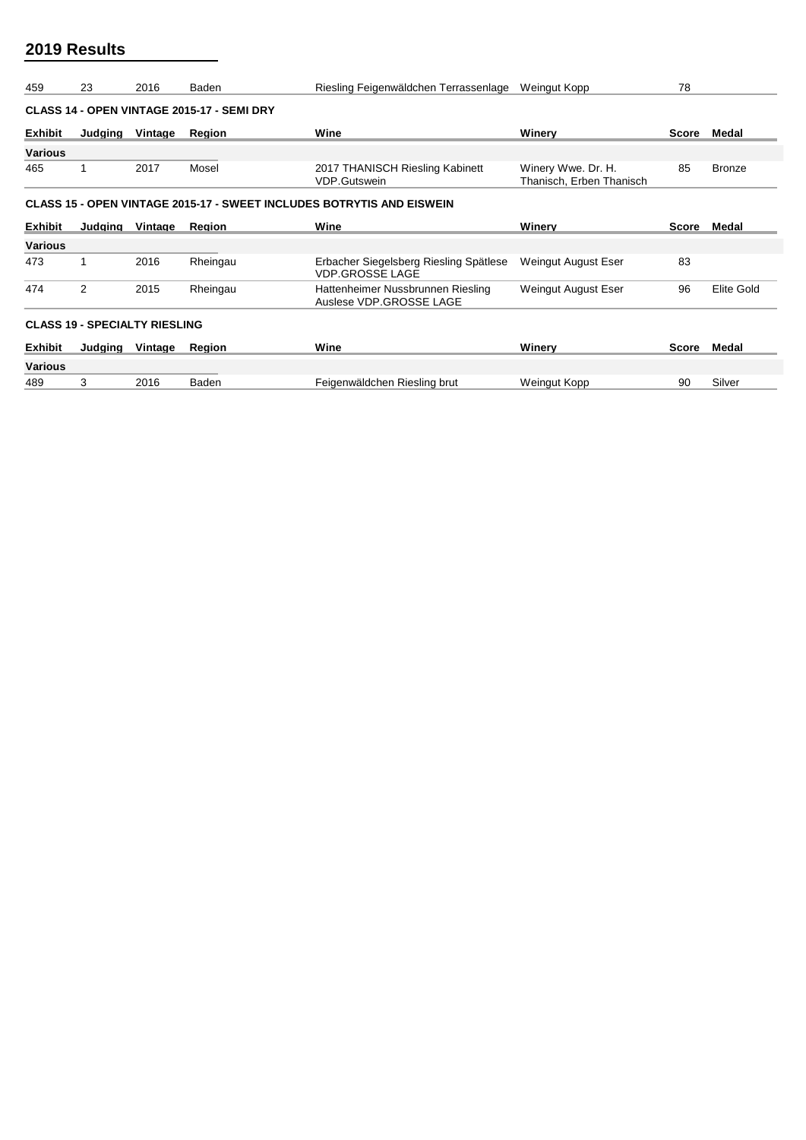| 459                                                                          | 23      | 2016    | Baden                                             | Riesling Feigenwäldchen Terrassenlage                            | Weingut Kopp                                   | 78    |               |  |  |  |  |
|------------------------------------------------------------------------------|---------|---------|---------------------------------------------------|------------------------------------------------------------------|------------------------------------------------|-------|---------------|--|--|--|--|
|                                                                              |         |         | <b>CLASS 14 - OPEN VINTAGE 2015-17 - SEMI DRY</b> |                                                                  |                                                |       |               |  |  |  |  |
| <b>Exhibit</b>                                                               | Judging | Vintage | Region                                            | Wine                                                             | Winerv                                         | Score | Medal         |  |  |  |  |
| <b>Various</b>                                                               |         |         |                                                   |                                                                  |                                                |       |               |  |  |  |  |
| 465                                                                          |         | 2017    | Mosel                                             | 2017 THANISCH Riesling Kabinett<br><b>VDP.Gutswein</b>           | Winery Wwe. Dr. H.<br>Thanisch, Erben Thanisch | 85    | <b>Bronze</b> |  |  |  |  |
| <b>CLASS 15 - OPEN VINTAGE 2015-17 - SWEET INCLUDES BOTRYTIS AND EISWEIN</b> |         |         |                                                   |                                                                  |                                                |       |               |  |  |  |  |
| <b>Exhibit</b>                                                               | Judging | Vintage | Region                                            | Wine                                                             | Winery                                         | Score | Medal         |  |  |  |  |
| <b>Various</b>                                                               |         |         |                                                   |                                                                  |                                                |       |               |  |  |  |  |
| 473                                                                          |         | 2016    | Rheingau                                          | Erbacher Siegelsberg Riesling Spätlese<br><b>VDP.GROSSE LAGE</b> | Weingut August Eser                            | 83    |               |  |  |  |  |
| 474                                                                          | 2       | 2015    | Rheingau                                          | Hattenheimer Nussbrunnen Riesling<br>Auslese VDP.GROSSE LAGE     | Weingut August Eser                            | 96    | Elite Gold    |  |  |  |  |
| <b>CLASS 19 - SPECIALTY RIESLING</b>                                         |         |         |                                                   |                                                                  |                                                |       |               |  |  |  |  |
| <b>Exhibit</b>                                                               | Judging | Vintage | Region                                            | Wine                                                             | Winery                                         | Score | Medal         |  |  |  |  |
| <b>Various</b>                                                               |         |         |                                                   |                                                                  |                                                |       |               |  |  |  |  |
| 489                                                                          | 3       | 2016    | Baden                                             | Feigenwäldchen Riesling brut                                     | Weingut Kopp                                   | 90    | Silver        |  |  |  |  |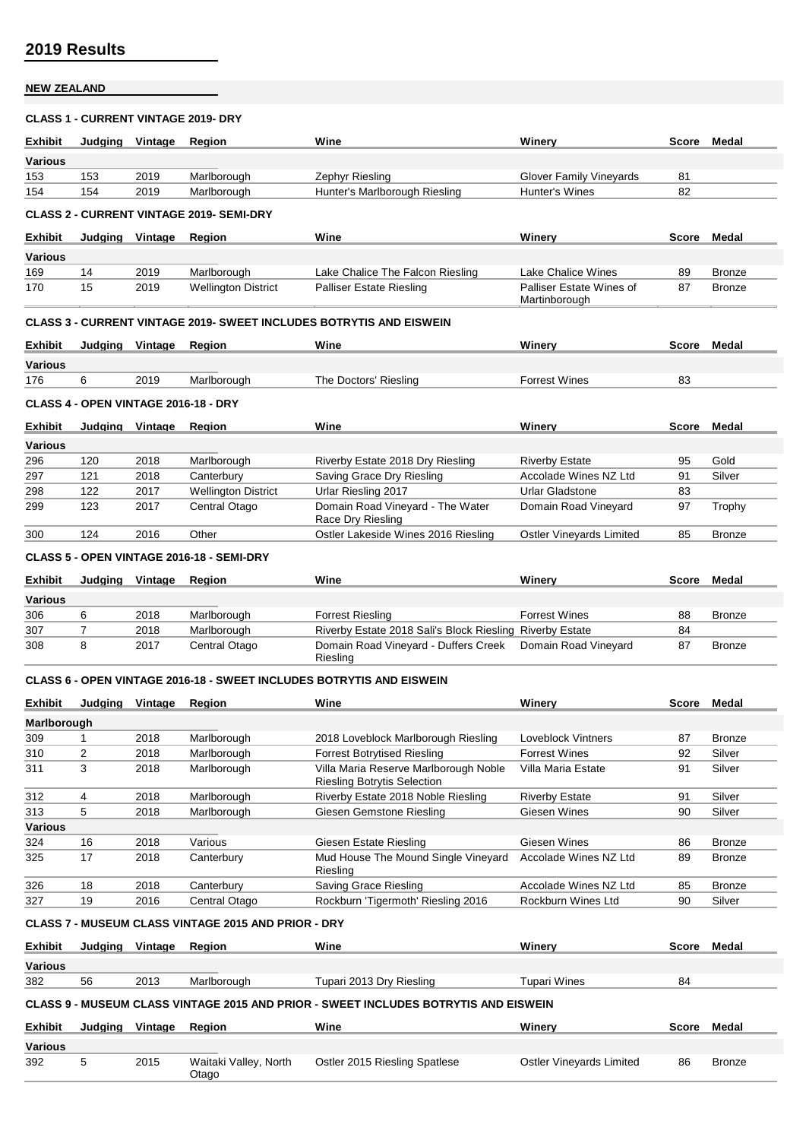## **NEW ZEALAND**

#### **CLASS 1 - CURRENT VINTAGE 2019- DRY**

| <b>Exhibit</b> | Judaina                                         | Vintage | <b>Region</b>                        | Wine                                                                       | Winery                                    | Score | Medal         |  |  |  |  |  |
|----------------|-------------------------------------------------|---------|--------------------------------------|----------------------------------------------------------------------------|-------------------------------------------|-------|---------------|--|--|--|--|--|
| <b>Various</b> |                                                 |         |                                      |                                                                            |                                           |       |               |  |  |  |  |  |
| 153            | 153                                             | 2019    | Marlborough                          | Zephyr Riesling                                                            | Glover Family Vineyards                   | 81    |               |  |  |  |  |  |
| 154            | 154                                             | 2019    | Marlborough                          | Hunter's Marlborough Riesling                                              | Hunter's Wines                            | 82    |               |  |  |  |  |  |
|                | <b>CLASS 2 - CURRENT VINTAGE 2019- SEMI-DRY</b> |         |                                      |                                                                            |                                           |       |               |  |  |  |  |  |
| <b>Exhibit</b> | Judging                                         | Vintage | Region                               | Wine                                                                       | Winery                                    | Score | Medal         |  |  |  |  |  |
| <b>Various</b> |                                                 |         |                                      |                                                                            |                                           |       |               |  |  |  |  |  |
| 169            | 14                                              | 2019    | Marlborough                          | Lake Chalice The Falcon Riesling                                           | Lake Chalice Wines                        | 89    | <b>Bronze</b> |  |  |  |  |  |
| 170            | 15                                              | 2019    | <b>Wellington District</b>           | <b>Palliser Estate Riesling</b>                                            | Palliser Estate Wines of<br>Martinborough | 87    | <b>Bronze</b> |  |  |  |  |  |
|                |                                                 |         |                                      | <b>CLASS 3 - CURRENT VINTAGE 2019- SWEET INCLUDES BOTRYTIS AND EISWEIN</b> |                                           |       |               |  |  |  |  |  |
| <b>Exhibit</b> | Judging                                         | Vintage | Region                               | Wine                                                                       | Winery                                    | Score | Medal         |  |  |  |  |  |
| <b>Various</b> |                                                 |         |                                      |                                                                            |                                           |       |               |  |  |  |  |  |
| 176            | 6                                               | 2019    | Marlborough                          | The Doctors' Riesling                                                      | <b>Forrest Wines</b>                      | 83    |               |  |  |  |  |  |
|                |                                                 |         | CLASS 4 - OPEN VINTAGE 2016-18 - DRY |                                                                            |                                           |       |               |  |  |  |  |  |
| <b>Exhibit</b> | Judging                                         | Vintage | Region                               | Wine                                                                       | Winery                                    | Score | Medal         |  |  |  |  |  |

| <b>Various</b> |     |      |                            |                                                       |                          |    |               |
|----------------|-----|------|----------------------------|-------------------------------------------------------|--------------------------|----|---------------|
| 296            | 120 | 2018 | Marlborough                | Riverby Estate 2018 Dry Riesling                      | <b>Riverby Estate</b>    | 95 | Gold          |
| 297            | 121 | 2018 | Canterbury                 | Saving Grace Dry Riesling                             | Accolade Wines NZ Ltd    | 91 | Silver        |
| 298            | 122 | 2017 | <b>Wellington District</b> | Urlar Riesling 2017                                   | Urlar Gladstone          | 83 |               |
| 299            | 123 | 2017 | Central Otago              | Domain Road Vineyard - The Water<br>Race Dry Riesling | Domain Road Vineyard     | 97 | Trophy        |
| 300            | 124 | 2016 | Other                      | Ostler Lakeside Wines 2016 Riesling                   | Ostler Vineyards Limited | 85 | <b>Bronze</b> |

**CLASS 5 - OPEN VINTAGE 2016-18 - SEMI-DRY**

| <b>Exhibit</b> | Judaina | Vintage | Reaion        | Wine                                                     | Winerv               | Score | Medal         |
|----------------|---------|---------|---------------|----------------------------------------------------------|----------------------|-------|---------------|
| <b>Various</b> |         |         |               |                                                          |                      |       |               |
| 306            |         | 2018    | Marlborough   | <b>Forrest Riesling</b>                                  | <b>Forrest Wines</b> | 88    | <b>Bronze</b> |
| 307            |         | 2018    | Marlborough   | Riverby Estate 2018 Sali's Block Riesling Riverby Estate |                      | 84    |               |
| 308            |         | 2017    | Central Otago | Domain Road Vineyard - Duffers Creek<br>Riesling         | Domain Road Vineyard | 87    | <b>Bronze</b> |

#### **CLASS 6 - OPEN VINTAGE 2016-18 - SWEET INCLUDES BOTRYTIS AND EISWEIN**

| <b>Exhibit</b> | Judaina        | Vintage | Region                                                     | Wine                                                                        | Winerv                | Score | Medal         |
|----------------|----------------|---------|------------------------------------------------------------|-----------------------------------------------------------------------------|-----------------------|-------|---------------|
| Marlborough    |                |         |                                                            |                                                                             |                       |       |               |
| 309            |                | 2018    | Marlborough                                                | 2018 Loveblock Marlborough Riesling                                         | Loveblock Vintners    | 87    | Bronze        |
| 310            | $\overline{2}$ | 2018    | Marlborough                                                | <b>Forrest Botrytised Riesling</b>                                          | <b>Forrest Wines</b>  | 92    | Silver        |
| 311            | 3              | 2018    | Marlborough                                                | Villa Maria Reserve Marlborough Noble<br><b>Riesling Botrytis Selection</b> | Villa Maria Estate    | 91    | Silver        |
| 312            | 4              | 2018    | Marlborough                                                | Riverby Estate 2018 Noble Riesling                                          | <b>Riverby Estate</b> | 91    | Silver        |
| 313            | 5              | 2018    | Marlborough                                                | Giesen Gemstone Riesling                                                    | Giesen Wines          | 90    | Silver        |
| <b>Various</b> |                |         |                                                            |                                                                             |                       |       |               |
| 324            | 16             | 2018    | Various                                                    | Giesen Estate Riesling                                                      | Giesen Wines          | 86    | Bronze        |
| 325            | 17             | 2018    | Canterbury                                                 | Mud House The Mound Single Vineyard<br>Riesling                             | Accolade Wines NZ Ltd | 89    | <b>Bronze</b> |
| 326            | 18             | 2018    | Canterbury                                                 | Saving Grace Riesling                                                       | Accolade Wines NZ Ltd | 85    | <b>Bronze</b> |
| 327            | 19             | 2016    | Central Otago                                              | Rockburn 'Tigermoth' Riesling 2016                                          | Rockburn Wines Ltd    | 90    | Silver        |
|                |                |         | <b>CLASS 7 - MUSEUM CLASS VINTAGE 2015 AND PRIOR - DRY</b> |                                                                             |                       |       |               |
| <b>Exhibit</b> | Judaina        | Vintage | Region                                                     | Wine                                                                        | Winerv                | Score | Medal         |

**Various** various<br>382 56 2013 Marlborough Tupari 2013 Dry Riesling Tupari Wines 84 **CLASS 9 - MUSEUM CLASS VINTAGE 2015 AND PRIOR - SWEET INCLUDES BOTRYTIS AND EISWEIN**

| <b>Exhibit</b> | Judging | Vintage | Reaion                         | Wine                          | Winerv                   | Score | Medal         |
|----------------|---------|---------|--------------------------------|-------------------------------|--------------------------|-------|---------------|
| <b>Various</b> |         |         |                                |                               |                          |       |               |
| 392            |         | 2015    | Waitaki Valley, North<br>Otago | Ostler 2015 Riesling Spatlese | Ostler Vineyards Limited | 86    | <b>Bronze</b> |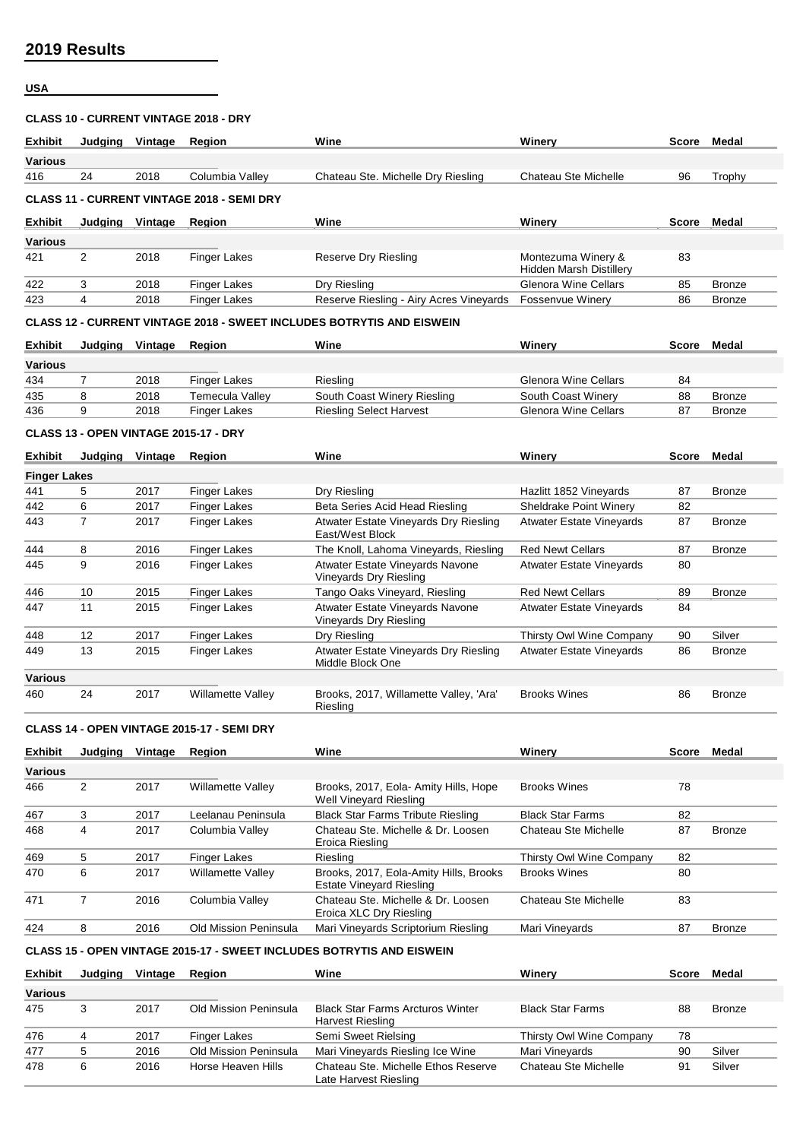# **USA**

### **CLASS 10 - CURRENT VINTAGE 2018 - DRY**

| <b>Exhibit</b> | Judaina        | Vintage | Region                                            | Wine                                                                         | Winerv                                               | Score | Medal         |
|----------------|----------------|---------|---------------------------------------------------|------------------------------------------------------------------------------|------------------------------------------------------|-------|---------------|
|                |                |         |                                                   |                                                                              |                                                      |       |               |
| <b>Various</b> |                |         |                                                   |                                                                              |                                                      |       |               |
| 416            | 24             | 2018    | Columbia Valley                                   | Chateau Ste. Michelle Dry Riesling                                           | Chateau Ste Michelle                                 | 96    | Trophy        |
|                |                |         | <b>CLASS 11 - CURRENT VINTAGE 2018 - SEMI DRY</b> |                                                                              |                                                      |       |               |
| <b>Exhibit</b> | Judging        | Vintage | Region                                            | Wine                                                                         | Winerv                                               | Score | Medal         |
| <b>Various</b> |                |         |                                                   |                                                                              |                                                      |       |               |
| 421            | $\overline{2}$ | 2018    | <b>Finger Lakes</b>                               | Reserve Dry Riesling                                                         | Montezuma Winery &<br><b>Hidden Marsh Distillery</b> | 83    |               |
| 422            | 3              | 2018    | <b>Finger Lakes</b>                               | Dry Riesling                                                                 | <b>Glenora Wine Cellars</b>                          | 85    | <b>Bronze</b> |
| 423            | 4              | 2018    | <b>Finger Lakes</b>                               | Reserve Riesling - Airy Acres Vineyards                                      | <b>Fossenvue Winery</b>                              | 86    | <b>Bronze</b> |
|                |                |         |                                                   | <b>CLASS 12 - CURRENT VINTAGE 2018 - SWEET INCLUDES BOTRYTIS AND EISWEIN</b> |                                                      |       |               |
| <b>Exhibit</b> | Judaina        | Vintage | Region                                            | Wine                                                                         | Winery                                               | Score | <b>Medal</b>  |
| <b>Various</b> |                |         |                                                   |                                                                              |                                                      |       |               |
| 434            | 7              | 2018    | <b>Finger Lakes</b>                               | Riesling                                                                     | <b>Glenora Wine Cellars</b>                          | 84    |               |
| 435            | 8              | 2018    | Temecula Valley                                   | South Coast Winery Riesling                                                  | South Coast Winery                                   | 88    | <b>Bronze</b> |
| 436            | 9              | 2018    | <b>Finger Lakes</b>                               | <b>Riesling Select Harvest</b>                                               | <b>Glenora Wine Cellars</b>                          | 87    | <b>Bronze</b> |
|                |                |         | CLASS 13 - OPEN VINTAGE 2015-17 - DRY             |                                                                              |                                                      |       |               |
| <b>Exhibit</b> | Judging        | Vintage | Region                                            | Wine                                                                         | Winery                                               | Score | Medal         |
| Finance Labor  |                |         |                                                   |                                                                              |                                                      |       |               |

|                | <b>Finger Lakes</b> |      |                          |                                                           |                                 |    |               |  |  |  |  |  |  |
|----------------|---------------------|------|--------------------------|-----------------------------------------------------------|---------------------------------|----|---------------|--|--|--|--|--|--|
| 441            | 5                   | 2017 | <b>Finger Lakes</b>      | Dry Riesling                                              | Hazlitt 1852 Vineyards          | 87 | <b>Bronze</b> |  |  |  |  |  |  |
| 442            | 6                   | 2017 | <b>Finger Lakes</b>      | Beta Series Acid Head Riesling                            | <b>Sheldrake Point Winery</b>   | 82 |               |  |  |  |  |  |  |
| 443            |                     | 2017 | <b>Finger Lakes</b>      | Atwater Estate Vineyards Dry Riesling<br>East/West Block  | <b>Atwater Estate Vineyards</b> | 87 | Bronze        |  |  |  |  |  |  |
| 444            | 8                   | 2016 | <b>Finger Lakes</b>      | The Knoll, Lahoma Vineyards, Riesling                     | <b>Red Newt Cellars</b>         | 87 | Bronze        |  |  |  |  |  |  |
| 445            | 9                   | 2016 | <b>Finger Lakes</b>      | Atwater Estate Vineyards Navone<br>Vineyards Dry Riesling | <b>Atwater Estate Vineyards</b> | 80 |               |  |  |  |  |  |  |
| 446            | 10                  | 2015 | <b>Finger Lakes</b>      | Tango Oaks Vineyard, Riesling                             | <b>Red Newt Cellars</b>         | 89 | <b>Bronze</b> |  |  |  |  |  |  |
| 447            | 11                  | 2015 | <b>Finger Lakes</b>      | Atwater Estate Vineyards Navone<br>Vineyards Dry Riesling | <b>Atwater Estate Vineyards</b> | 84 |               |  |  |  |  |  |  |
| 448            | 12                  | 2017 | <b>Finger Lakes</b>      | Dry Riesling                                              | Thirsty Owl Wine Company        | 90 | Silver        |  |  |  |  |  |  |
| 449            | 13                  | 2015 | <b>Finger Lakes</b>      | Atwater Estate Vineyards Dry Riesling<br>Middle Block One | <b>Atwater Estate Vineyards</b> | 86 | <b>Bronze</b> |  |  |  |  |  |  |
| <b>Various</b> |                     |      |                          |                                                           |                                 |    |               |  |  |  |  |  |  |
| 460            | 24                  | 2017 | <b>Willamette Valley</b> | Brooks, 2017, Willamette Valley, 'Ara'<br>Riesling        | <b>Brooks Wines</b>             | 86 | Bronze        |  |  |  |  |  |  |

## **CLASS 14 - OPEN VINTAGE 2015-17 - SEMI DRY**

| <b>Exhibit</b> | Judaina | Vintage | Region                   | Wine                                                                      | Winery                   | Score | Medal         |
|----------------|---------|---------|--------------------------|---------------------------------------------------------------------------|--------------------------|-------|---------------|
| <b>Various</b> |         |         |                          |                                                                           |                          |       |               |
| 466            | 2       | 2017    | <b>Willamette Valley</b> | Brooks, 2017, Eola-Amity Hills, Hope<br>Well Vineyard Riesling            | <b>Brooks Wines</b>      | 78    |               |
| 467            | 3       | 2017    | Leelanau Peninsula       | <b>Black Star Farms Tribute Riesling</b>                                  | <b>Black Star Farms</b>  | 82    |               |
| 468            | 4       | 2017    | Columbia Valley          | Chateau Ste. Michelle & Dr. Loosen<br>Eroica Riesling                     | Chateau Ste Michelle     | 87    | <b>Bronze</b> |
| 469            | 5       | 2017    | <b>Finger Lakes</b>      | Riesling                                                                  | Thirsty Owl Wine Company | 82    |               |
| 470            | 6       | 2017    | <b>Willamette Valley</b> | Brooks, 2017, Eola-Amity Hills, Brooks<br><b>Estate Vineyard Riesling</b> | <b>Brooks Wines</b>      | 80    |               |
| 471            |         | 2016    | Columbia Valley          | Chateau Ste. Michelle & Dr. Loosen<br>Eroica XLC Dry Riesling             | Chateau Ste Michelle     | 83    |               |
| 424            | 8       | 2016    | Old Mission Peninsula    | Mari Vineyards Scriptorium Riesling                                       | Mari Vineyards           | 87    | <b>Bronze</b> |

## **CLASS 15 - OPEN VINTAGE 2015-17 - SWEET INCLUDES BOTRYTIS AND EISWEIN**

| <b>Exhibit</b> | Judaina | Vintage | <b>Region</b>         | Wine                                                               | Winerv                   | <b>Score</b> | Medal         |
|----------------|---------|---------|-----------------------|--------------------------------------------------------------------|--------------------------|--------------|---------------|
| <b>Various</b> |         |         |                       |                                                                    |                          |              |               |
| 475            |         | 2017    | Old Mission Peninsula | <b>Black Star Farms Arcturos Winter</b><br><b>Harvest Riesling</b> | <b>Black Star Farms</b>  | 88           | <b>Bronze</b> |
| 476            |         | 2017    | Finger Lakes          | Semi Sweet Rielsing                                                | Thirsty Owl Wine Company | 78           |               |
| 477            |         | 2016    | Old Mission Peninsula | Mari Vineyards Riesling Ice Wine                                   | Mari Vineyards           | 90           | Silver        |
| 478            | 6       | 2016    | Horse Heaven Hills    | Chateau Ste. Michelle Ethos Reserve<br>Late Harvest Riesling       | Chateau Ste Michelle     | 91           | Silver        |